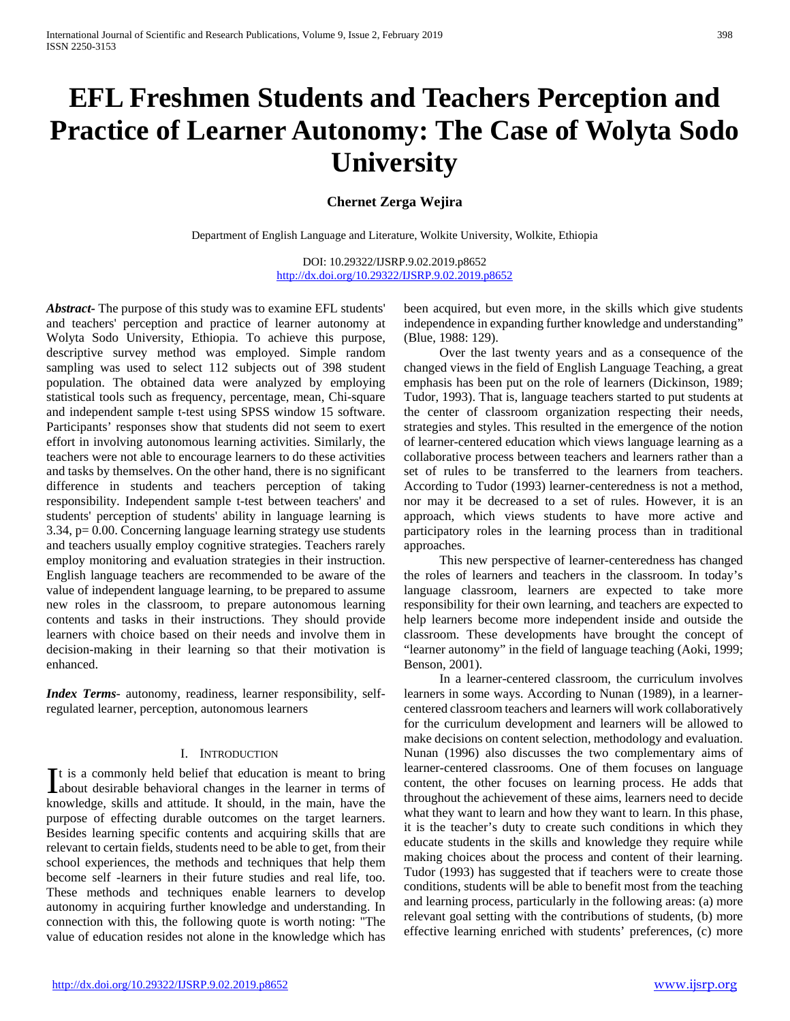# **EFL Freshmen Students and Teachers Perception and Practice of Learner Autonomy: The Case of Wolyta Sodo University**

## **Chernet Zerga Wejira**

Department of English Language and Literature, Wolkite University, Wolkite, Ethiopia

DOI: 10.29322/IJSRP.9.02.2019.p8652 <http://dx.doi.org/10.29322/IJSRP.9.02.2019.p8652>

*Abstract***-** The purpose of this study was to examine EFL students' and teachers' perception and practice of learner autonomy at Wolyta Sodo University, Ethiopia. To achieve this purpose, descriptive survey method was employed. Simple random sampling was used to select 112 subjects out of 398 student population. The obtained data were analyzed by employing statistical tools such as frequency, percentage, mean, Chi-square and independent sample t-test using SPSS window 15 software. Participants' responses show that students did not seem to exert effort in involving autonomous learning activities. Similarly, the teachers were not able to encourage learners to do these activities and tasks by themselves. On the other hand, there is no significant difference in students and teachers perception of taking responsibility. Independent sample t-test between teachers' and students' perception of students' ability in language learning is 3.34, p= 0.00. Concerning language learning strategy use students and teachers usually employ cognitive strategies. Teachers rarely employ monitoring and evaluation strategies in their instruction. English language teachers are recommended to be aware of the value of independent language learning, to be prepared to assume new roles in the classroom, to prepare autonomous learning contents and tasks in their instructions. They should provide learners with choice based on their needs and involve them in decision-making in their learning so that their motivation is enhanced.

*Index Terms*- autonomy, readiness, learner responsibility, selfregulated learner, perception, autonomous learners

## I. INTRODUCTION

t is a commonly held belief that education is meant to bring It is a commonly held belief that education is meant to bring<br>about desirable behavioral changes in the learner in terms of knowledge, skills and attitude. It should, in the main, have the purpose of effecting durable outcomes on the target learners. Besides learning specific contents and acquiring skills that are relevant to certain fields, students need to be able to get, from their school experiences, the methods and techniques that help them become self -learners in their future studies and real life, too. These methods and techniques enable learners to develop autonomy in acquiring further knowledge and understanding. In connection with this, the following quote is worth noting: "The value of education resides not alone in the knowledge which has

been acquired, but even more, in the skills which give students independence in expanding further knowledge and understanding" (Blue, 1988: 129).

 Over the last twenty years and as a consequence of the changed views in the field of English Language Teaching, a great emphasis has been put on the role of learners (Dickinson, 1989; Tudor, 1993). That is, language teachers started to put students at the center of classroom organization respecting their needs, strategies and styles. This resulted in the emergence of the notion of learner-centered education which views language learning as a collaborative process between teachers and learners rather than a set of rules to be transferred to the learners from teachers. According to Tudor (1993) learner-centeredness is not a method, nor may it be decreased to a set of rules. However, it is an approach, which views students to have more active and participatory roles in the learning process than in traditional approaches.

 This new perspective of learner-centeredness has changed the roles of learners and teachers in the classroom. In today's language classroom, learners are expected to take more responsibility for their own learning, and teachers are expected to help learners become more independent inside and outside the classroom. These developments have brought the concept of "learner autonomy" in the field of language teaching (Aoki, 1999; Benson, 2001).

 In a learner-centered classroom, the curriculum involves learners in some ways. According to Nunan (1989), in a learnercentered classroom teachers and learners will work collaboratively for the curriculum development and learners will be allowed to make decisions on content selection, methodology and evaluation. Nunan (1996) also discusses the two complementary aims of learner-centered classrooms. One of them focuses on language content, the other focuses on learning process. He adds that throughout the achievement of these aims, learners need to decide what they want to learn and how they want to learn. In this phase, it is the teacher's duty to create such conditions in which they educate students in the skills and knowledge they require while making choices about the process and content of their learning. Tudor (1993) has suggested that if teachers were to create those conditions, students will be able to benefit most from the teaching and learning process, particularly in the following areas: (a) more relevant goal setting with the contributions of students, (b) more effective learning enriched with students' preferences, (c) more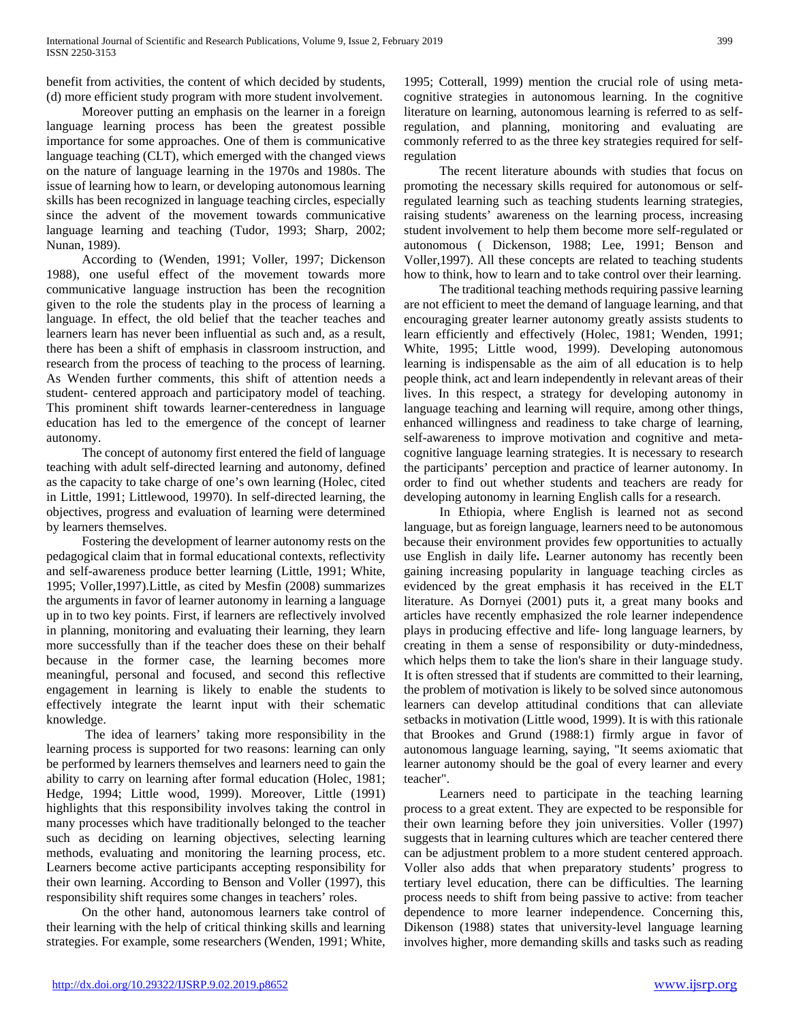benefit from activities, the content of which decided by students, (d) more efficient study program with more student involvement.

 Moreover putting an emphasis on the learner in a foreign language learning process has been the greatest possible importance for some approaches. One of them is communicative language teaching (CLT), which emerged with the changed views on the nature of language learning in the 1970s and 1980s. The issue of learning how to learn, or developing autonomous learning skills has been recognized in language teaching circles, especially since the advent of the movement towards communicative language learning and teaching (Tudor, 1993; Sharp, 2002; Nunan, 1989).

 According to (Wenden, 1991; Voller, 1997; Dickenson 1988), one useful effect of the movement towards more communicative language instruction has been the recognition given to the role the students play in the process of learning a language. In effect, the old belief that the teacher teaches and learners learn has never been influential as such and, as a result, there has been a shift of emphasis in classroom instruction, and research from the process of teaching to the process of learning. As Wenden further comments, this shift of attention needs a student- centered approach and participatory model of teaching. This prominent shift towards learner-centeredness in language education has led to the emergence of the concept of learner autonomy.

 The concept of autonomy first entered the field of language teaching with adult self-directed learning and autonomy, defined as the capacity to take charge of one's own learning (Holec, cited in Little, 1991; Littlewood, 19970). In self-directed learning, the objectives, progress and evaluation of learning were determined by learners themselves.

 Fostering the development of learner autonomy rests on the pedagogical claim that in formal educational contexts, reflectivity and self-awareness produce better learning (Little, 1991; White, 1995; Voller,1997).Little, as cited by Mesfin (2008) summarizes the arguments in favor of learner autonomy in learning a language up in to two key points. First, if learners are reflectively involved in planning, monitoring and evaluating their learning, they learn more successfully than if the teacher does these on their behalf because in the former case, the learning becomes more meaningful, personal and focused, and second this reflective engagement in learning is likely to enable the students to effectively integrate the learnt input with their schematic knowledge.

 The idea of learners' taking more responsibility in the learning process is supported for two reasons: learning can only be performed by learners themselves and learners need to gain the ability to carry on learning after formal education (Holec, 1981; Hedge, 1994; Little wood, 1999). Moreover, Little (1991) highlights that this responsibility involves taking the control in many processes which have traditionally belonged to the teacher such as deciding on learning objectives, selecting learning methods, evaluating and monitoring the learning process, etc. Learners become active participants accepting responsibility for their own learning. According to Benson and Voller (1997), this responsibility shift requires some changes in teachers' roles.

 On the other hand, autonomous learners take control of their learning with the help of critical thinking skills and learning strategies. For example, some researchers (Wenden, 1991; White,

1995; Cotterall, 1999) mention the crucial role of using metacognitive strategies in autonomous learning. In the cognitive literature on learning, autonomous learning is referred to as selfregulation, and planning, monitoring and evaluating are commonly referred to as the three key strategies required for selfregulation

 The recent literature abounds with studies that focus on promoting the necessary skills required for autonomous or selfregulated learning such as teaching students learning strategies, raising students' awareness on the learning process, increasing student involvement to help them become more self-regulated or autonomous ( Dickenson, 1988; Lee, 1991; Benson and Voller,1997). All these concepts are related to teaching students how to think, how to learn and to take control over their learning.

 The traditional teaching methods requiring passive learning are not efficient to meet the demand of language learning, and that encouraging greater learner autonomy greatly assists students to learn efficiently and effectively (Holec, 1981; Wenden, 1991; White, 1995; Little wood, 1999). Developing autonomous learning is indispensable as the aim of all education is to help people think, act and learn independently in relevant areas of their lives. In this respect, a strategy for developing autonomy in language teaching and learning will require, among other things, enhanced willingness and readiness to take charge of learning, self-awareness to improve motivation and cognitive and metacognitive language learning strategies. It is necessary to research the participants' perception and practice of learner autonomy. In order to find out whether students and teachers are ready for developing autonomy in learning English calls for a research.

 In Ethiopia, where English is learned not as second language, but as foreign language, learners need to be autonomous because their environment provides few opportunities to actually use English in daily life**.** Learner autonomy has recently been gaining increasing popularity in language teaching circles as evidenced by the great emphasis it has received in the ELT literature. As Dornyei (2001) puts it, a great many books and articles have recently emphasized the role learner independence plays in producing effective and life- long language learners, by creating in them a sense of responsibility or duty-mindedness, which helps them to take the lion's share in their language study. It is often stressed that if students are committed to their learning, the problem of motivation is likely to be solved since autonomous learners can develop attitudinal conditions that can alleviate setbacks in motivation (Little wood, 1999). It is with this rationale that Brookes and Grund (1988:1) firmly argue in favor of autonomous language learning, saying, "It seems axiomatic that learner autonomy should be the goal of every learner and every teacher".

 Learners need to participate in the teaching learning process to a great extent. They are expected to be responsible for their own learning before they join universities. Voller (1997) suggests that in learning cultures which are teacher centered there can be adjustment problem to a more student centered approach. Voller also adds that when preparatory students' progress to tertiary level education, there can be difficulties. The learning process needs to shift from being passive to active: from teacher dependence to more learner independence. Concerning this, Dikenson (1988) states that university-level language learning involves higher, more demanding skills and tasks such as reading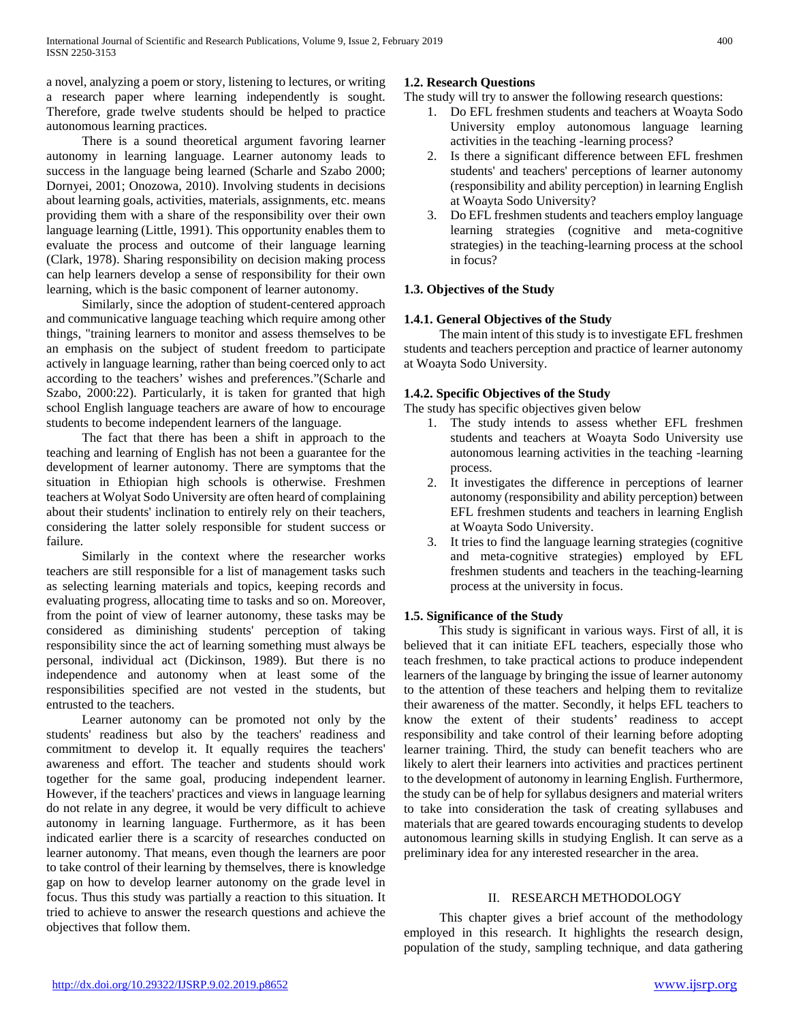a novel, analyzing a poem or story, listening to lectures, or writing a research paper where learning independently is sought. Therefore, grade twelve students should be helped to practice autonomous learning practices.

 There is a sound theoretical argument favoring learner autonomy in learning language. Learner autonomy leads to success in the language being learned (Scharle and Szabo 2000; Dornyei, 2001; Onozowa, 2010). Involving students in decisions about learning goals, activities, materials, assignments, etc. means providing them with a share of the responsibility over their own language learning (Little, 1991). This opportunity enables them to evaluate the process and outcome of their language learning (Clark, 1978). Sharing responsibility on decision making process can help learners develop a sense of responsibility for their own learning, which is the basic component of learner autonomy.

 Similarly, since the adoption of student-centered approach and communicative language teaching which require among other things, "training learners to monitor and assess themselves to be an emphasis on the subject of student freedom to participate actively in language learning, rather than being coerced only to act according to the teachers' wishes and preferences."(Scharle and Szabo, 2000:22). Particularly, it is taken for granted that high school English language teachers are aware of how to encourage students to become independent learners of the language.

 The fact that there has been a shift in approach to the teaching and learning of English has not been a guarantee for the development of learner autonomy. There are symptoms that the situation in Ethiopian high schools is otherwise. Freshmen teachers at Wolyat Sodo University are often heard of complaining about their students' inclination to entirely rely on their teachers, considering the latter solely responsible for student success or failure.

 Similarly in the context where the researcher works teachers are still responsible for a list of management tasks such as selecting learning materials and topics, keeping records and evaluating progress, allocating time to tasks and so on. Moreover, from the point of view of learner autonomy, these tasks may be considered as diminishing students' perception of taking responsibility since the act of learning something must always be personal, individual act (Dickinson, 1989). But there is no independence and autonomy when at least some of the responsibilities specified are not vested in the students, but entrusted to the teachers.

 Learner autonomy can be promoted not only by the students' readiness but also by the teachers' readiness and commitment to develop it. It equally requires the teachers' awareness and effort. The teacher and students should work together for the same goal, producing independent learner. However, if the teachers' practices and views in language learning do not relate in any degree, it would be very difficult to achieve autonomy in learning language. Furthermore, as it has been indicated earlier there is a scarcity of researches conducted on learner autonomy. That means, even though the learners are poor to take control of their learning by themselves, there is knowledge gap on how to develop learner autonomy on the grade level in focus. Thus this study was partially a reaction to this situation. It tried to achieve to answer the research questions and achieve the objectives that follow them.

## **1.2. Research Questions**

The study will try to answer the following research questions:

- 1. Do EFL freshmen students and teachers at Woayta Sodo University employ autonomous language learning activities in the teaching -learning process?
- 2. Is there a significant difference between EFL freshmen students' and teachers' perceptions of learner autonomy (responsibility and ability perception) in learning English at Woayta Sodo University?
- 3. Do EFL freshmen students and teachers employ language learning strategies (cognitive and meta-cognitive strategies) in the teaching-learning process at the school in focus?

## **1.3. Objectives of the Study**

## **1.4.1. General Objectives of the Study**

 The main intent of this study is to investigate EFL freshmen students and teachers perception and practice of learner autonomy at Woayta Sodo University.

## **1.4.2. Specific Objectives of the Study**

The study has specific objectives given below

- 1. The study intends to assess whether EFL freshmen students and teachers at Woayta Sodo University use autonomous learning activities in the teaching -learning process.
- 2. It investigates the difference in perceptions of learner autonomy (responsibility and ability perception) between EFL freshmen students and teachers in learning English at Woayta Sodo University.
- 3. It tries to find the language learning strategies (cognitive and meta-cognitive strategies) employed by EFL freshmen students and teachers in the teaching-learning process at the university in focus.

## **1.5. Significance of the Study**

 This study is significant in various ways. First of all, it is believed that it can initiate EFL teachers, especially those who teach freshmen, to take practical actions to produce independent learners of the language by bringing the issue of learner autonomy to the attention of these teachers and helping them to revitalize their awareness of the matter. Secondly, it helps EFL teachers to know the extent of their students' readiness to accept responsibility and take control of their learning before adopting learner training. Third, the study can benefit teachers who are likely to alert their learners into activities and practices pertinent to the development of autonomy in learning English. Furthermore, the study can be of help for syllabus designers and material writers to take into consideration the task of creating syllabuses and materials that are geared towards encouraging students to develop autonomous learning skills in studying English. It can serve as a preliminary idea for any interested researcher in the area.

## II. RESEARCH METHODOLOGY

 This chapter gives a brief account of the methodology employed in this research. It highlights the research design, population of the study, sampling technique, and data gathering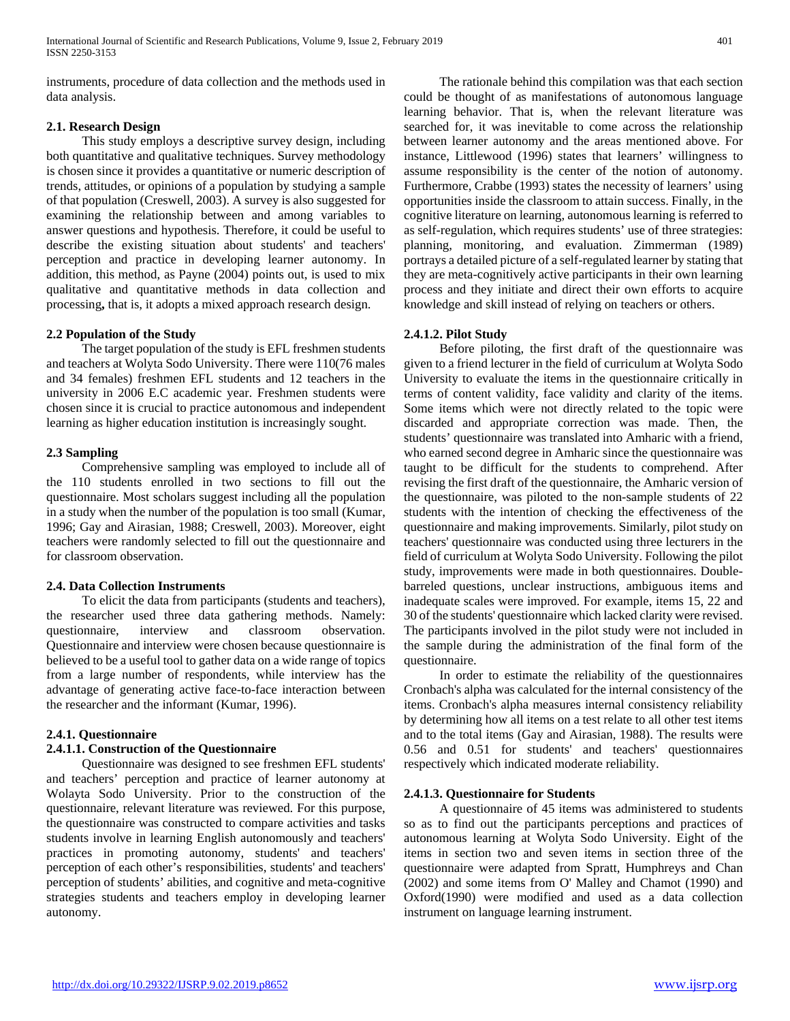instruments, procedure of data collection and the methods used in data analysis.

## **2.1. Research Design**

 This study employs a descriptive survey design, including both quantitative and qualitative techniques. Survey methodology is chosen since it provides a quantitative or numeric description of trends, attitudes, or opinions of a population by studying a sample of that population (Creswell, 2003). A survey is also suggested for examining the relationship between and among variables to answer questions and hypothesis. Therefore, it could be useful to describe the existing situation about students' and teachers' perception and practice in developing learner autonomy. In addition, this method, as Payne (2004) points out, is used to mix qualitative and quantitative methods in data collection and processing**,** that is, it adopts a mixed approach research design.

## **2.2 Population of the Study**

 The target population of the study is EFL freshmen students and teachers at Wolyta Sodo University. There were 110(76 males and 34 females) freshmen EFL students and 12 teachers in the university in 2006 E.C academic year. Freshmen students were chosen since it is crucial to practice autonomous and independent learning as higher education institution is increasingly sought.

## **2.3 Sampling**

 Comprehensive sampling was employed to include all of the 110 students enrolled in two sections to fill out the questionnaire. Most scholars suggest including all the population in a study when the number of the population is too small (Kumar, 1996; Gay and Airasian, 1988; Creswell, 2003). Moreover, eight teachers were randomly selected to fill out the questionnaire and for classroom observation.

## **2.4. Data Collection Instruments**

 To elicit the data from participants (students and teachers), the researcher used three data gathering methods. Namely: questionnaire, interview and classroom observation. Questionnaire and interview were chosen because questionnaire is believed to be a useful tool to gather data on a wide range of topics from a large number of respondents, while interview has the advantage of generating active face-to-face interaction between the researcher and the informant (Kumar, 1996).

## **2.4.1. Questionnaire**

## **2.4.1.1. Construction of the Questionnaire**

 Questionnaire was designed to see freshmen EFL students' and teachers' perception and practice of learner autonomy at Wolayta Sodo University. Prior to the construction of the questionnaire, relevant literature was reviewed. For this purpose, the questionnaire was constructed to compare activities and tasks students involve in learning English autonomously and teachers' practices in promoting autonomy, students' and teachers' perception of each other's responsibilities, students' and teachers' perception of students' abilities, and cognitive and meta-cognitive strategies students and teachers employ in developing learner autonomy.

 The rationale behind this compilation was that each section could be thought of as manifestations of autonomous language learning behavior. That is, when the relevant literature was searched for, it was inevitable to come across the relationship between learner autonomy and the areas mentioned above. For instance, Littlewood (1996) states that learners' willingness to assume responsibility is the center of the notion of autonomy. Furthermore, Crabbe (1993) states the necessity of learners' using opportunities inside the classroom to attain success. Finally, in the cognitive literature on learning, autonomous learning is referred to as self-regulation, which requires students' use of three strategies: planning, monitoring, and evaluation. Zimmerman (1989) portrays a detailed picture of a self-regulated learner by stating that they are meta-cognitively active participants in their own learning process and they initiate and direct their own efforts to acquire knowledge and skill instead of relying on teachers or others.

## **2.4.1.2. Pilot Study**

 Before piloting, the first draft of the questionnaire was given to a friend lecturer in the field of curriculum at Wolyta Sodo University to evaluate the items in the questionnaire critically in terms of content validity, face validity and clarity of the items. Some items which were not directly related to the topic were discarded and appropriate correction was made. Then, the students' questionnaire was translated into Amharic with a friend, who earned second degree in Amharic since the questionnaire was taught to be difficult for the students to comprehend. After revising the first draft of the questionnaire, the Amharic version of the questionnaire, was piloted to the non-sample students of 22 students with the intention of checking the effectiveness of the questionnaire and making improvements. Similarly, pilot study on teachers' questionnaire was conducted using three lecturers in the field of curriculum at Wolyta Sodo University. Following the pilot study, improvements were made in both questionnaires. Doublebarreled questions, unclear instructions, ambiguous items and inadequate scales were improved. For example, items 15, 22 and 30 of the students' questionnaire which lacked clarity were revised. The participants involved in the pilot study were not included in the sample during the administration of the final form of the questionnaire.

 In order to estimate the reliability of the questionnaires Cronbach's alpha was calculated for the internal consistency of the items. Cronbach's alpha measures internal consistency reliability by determining how all items on a test relate to all other test items and to the total items (Gay and Airasian, 1988). The results were 0.56 and 0.51 for students' and teachers' questionnaires respectively which indicated moderate reliability.

## **2.4.1.3. Questionnaire for Students**

 A questionnaire of 45 items was administered to students so as to find out the participants perceptions and practices of autonomous learning at Wolyta Sodo University. Eight of the items in section two and seven items in section three of the questionnaire were adapted from Spratt, Humphreys and Chan (2002) and some items from O' Malley and Chamot (1990) and Oxford(1990) were modified and used as a data collection instrument on language learning instrument.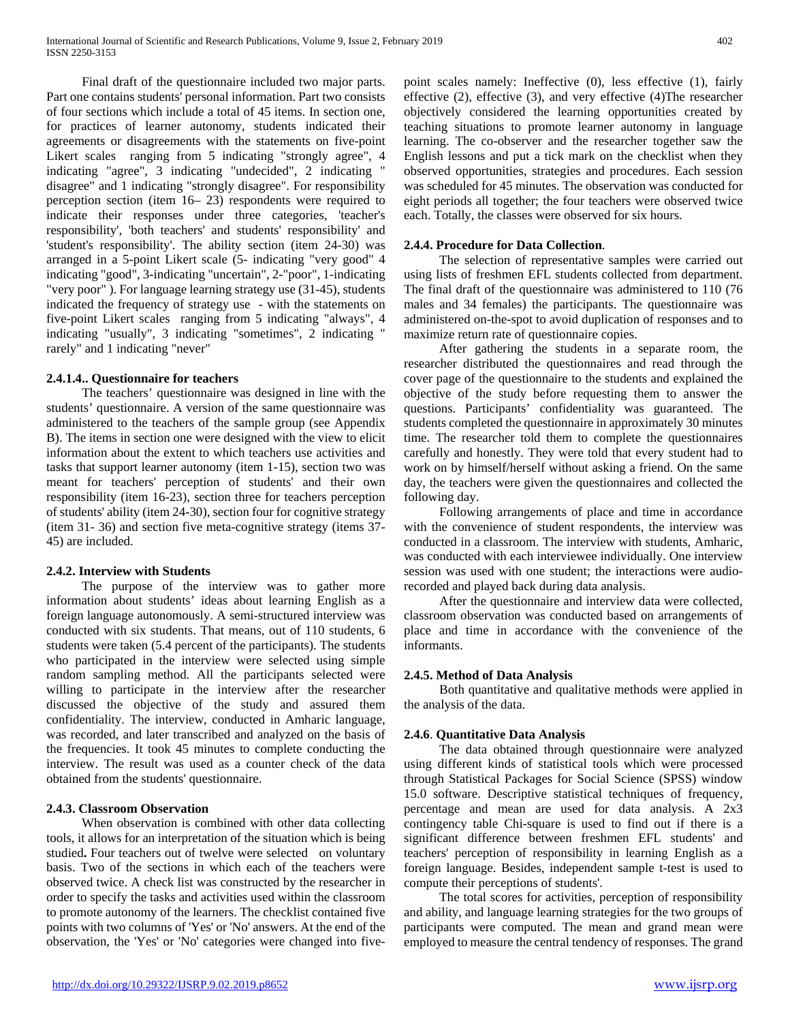Final draft of the questionnaire included two major parts. Part one contains students' personal information. Part two consists of four sections which include a total of 45 items. In section one, for practices of learner autonomy, students indicated their agreements or disagreements with the statements on five-point Likert scales ranging from 5 indicating "strongly agree", 4 indicating "agree", 3 indicating "undecided", 2 indicating " disagree" and 1 indicating "strongly disagree". For responsibility perception section (item 16– 23) respondents were required to indicate their responses under three categories, 'teacher's responsibility', 'both teachers' and students' responsibility' and 'student's responsibility'. The ability section (item 24-30) was arranged in a 5-point Likert scale (5- indicating "very good" 4 indicating "good", 3-indicating "uncertain", 2-"poor", 1-indicating "very poor" ). For language learning strategy use (31-45), students indicated the frequency of strategy use - with the statements on five-point Likert scales ranging from 5 indicating "always", 4 indicating "usually", 3 indicating "sometimes", 2 indicating " rarely" and 1 indicating "never"

## **2.4.1.4.. Questionnaire for teachers**

 The teachers' questionnaire was designed in line with the students' questionnaire. A version of the same questionnaire was administered to the teachers of the sample group (see Appendix B). The items in section one were designed with the view to elicit information about the extent to which teachers use activities and tasks that support learner autonomy (item 1-15), section two was meant for teachers' perception of students' and their own responsibility (item 16-23), section three for teachers perception of students' ability (item 24-30), section four for cognitive strategy (item 31- 36) and section five meta-cognitive strategy (items 37- 45) are included.

## **2.4.2. Interview with Students**

 The purpose of the interview was to gather more information about students' ideas about learning English as a foreign language autonomously. A semi-structured interview was conducted with six students. That means, out of 110 students, 6 students were taken (5.4 percent of the participants). The students who participated in the interview were selected using simple random sampling method. All the participants selected were willing to participate in the interview after the researcher discussed the objective of the study and assured them confidentiality. The interview, conducted in Amharic language, was recorded, and later transcribed and analyzed on the basis of the frequencies. It took 45 minutes to complete conducting the interview. The result was used as a counter check of the data obtained from the students' questionnaire.

## **2.4.3. Classroom Observation**

 When observation is combined with other data collecting tools, it allows for an interpretation of the situation which is being studied**.** Four teachers out of twelve were selected on voluntary basis. Two of the sections in which each of the teachers were observed twice. A check list was constructed by the researcher in order to specify the tasks and activities used within the classroom to promote autonomy of the learners. The checklist contained five points with two columns of 'Yes' or 'No' answers. At the end of the observation, the 'Yes' or 'No' categories were changed into fivepoint scales namely: Ineffective (0), less effective (1), fairly effective (2), effective (3), and very effective (4)The researcher objectively considered the learning opportunities created by teaching situations to promote learner autonomy in language learning. The co-observer and the researcher together saw the English lessons and put a tick mark on the checklist when they observed opportunities, strategies and procedures. Each session was scheduled for 45 minutes. The observation was conducted for eight periods all together; the four teachers were observed twice each. Totally, the classes were observed for six hours.

## **2.4.4. Procedure for Data Collection**.

 The selection of representative samples were carried out using lists of freshmen EFL students collected from department. The final draft of the questionnaire was administered to 110 (76 males and 34 females) the participants. The questionnaire was administered on-the-spot to avoid duplication of responses and to maximize return rate of questionnaire copies.

 After gathering the students in a separate room, the researcher distributed the questionnaires and read through the cover page of the questionnaire to the students and explained the objective of the study before requesting them to answer the questions. Participants' confidentiality was guaranteed. The students completed the questionnaire in approximately 30 minutes time. The researcher told them to complete the questionnaires carefully and honestly. They were told that every student had to work on by himself/herself without asking a friend. On the same day, the teachers were given the questionnaires and collected the following day.

 Following arrangements of place and time in accordance with the convenience of student respondents, the interview was conducted in a classroom. The interview with students, Amharic, was conducted with each interviewee individually. One interview session was used with one student; the interactions were audiorecorded and played back during data analysis.

 After the questionnaire and interview data were collected, classroom observation was conducted based on arrangements of place and time in accordance with the convenience of the informants.

## **2.4.5. Method of Data Analysis**

 Both quantitative and qualitative methods were applied in the analysis of the data.

## **2.4.6**. **Quantitative Data Analysis**

 The data obtained through questionnaire were analyzed using different kinds of statistical tools which were processed through Statistical Packages for Social Science (SPSS) window 15.0 software. Descriptive statistical techniques of frequency, percentage and mean are used for data analysis. A 2x3 contingency table Chi-square is used to find out if there is a significant difference between freshmen EFL students' and teachers' perception of responsibility in learning English as a foreign language. Besides, independent sample t-test is used to compute their perceptions of students'.

 The total scores for activities, perception of responsibility and ability, and language learning strategies for the two groups of participants were computed. The mean and grand mean were employed to measure the central tendency of responses. The grand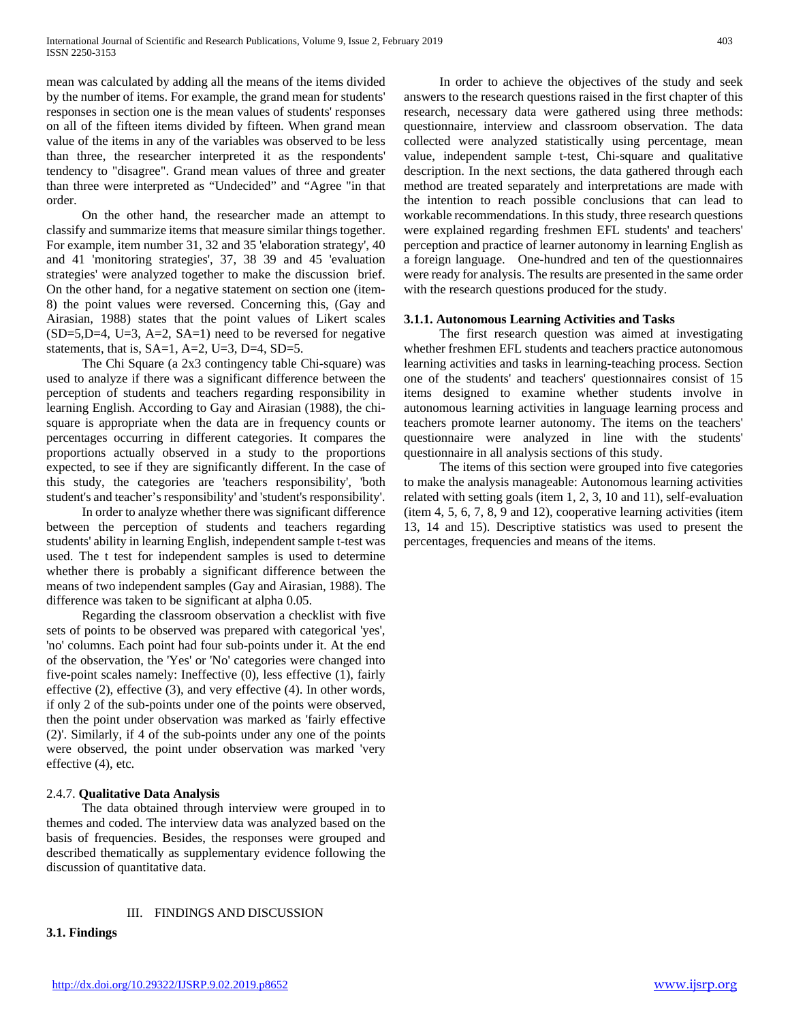mean was calculated by adding all the means of the items divided by the number of items. For example, the grand mean for students' responses in section one is the mean values of students' responses on all of the fifteen items divided by fifteen. When grand mean value of the items in any of the variables was observed to be less than three, the researcher interpreted it as the respondents' tendency to "disagree". Grand mean values of three and greater than three were interpreted as "Undecided" and "Agree "in that order.

 On the other hand, the researcher made an attempt to classify and summarize items that measure similar things together. For example, item number 31, 32 and 35 'elaboration strategy', 40 and 41 'monitoring strategies', 37, 38 39 and 45 'evaluation strategies' were analyzed together to make the discussion brief. On the other hand, for a negative statement on section one (item-8) the point values were reversed. Concerning this, (Gay and Airasian, 1988) states that the point values of Likert scales  $(SD=5, D=4, U=3, A=2, SA=1)$  need to be reversed for negative statements, that is,  $SA=1$ ,  $A=2$ ,  $U=3$ ,  $D=4$ ,  $SD=5$ .

 The Chi Square (a 2x3 contingency table Chi-square) was used to analyze if there was a significant difference between the perception of students and teachers regarding responsibility in learning English. According to Gay and Airasian (1988), the chisquare is appropriate when the data are in frequency counts or percentages occurring in different categories. It compares the proportions actually observed in a study to the proportions expected, to see if they are significantly different. In the case of this study, the categories are 'teachers responsibility', 'both student's and teacher's responsibility' and 'student's responsibility'.

 In order to analyze whether there was significant difference between the perception of students and teachers regarding students' ability in learning English, independent sample t-test was used. The t test for independent samples is used to determine whether there is probably a significant difference between the means of two independent samples (Gay and Airasian, 1988). The difference was taken to be significant at alpha 0.05.

 Regarding the classroom observation a checklist with five sets of points to be observed was prepared with categorical 'yes', 'no' columns. Each point had four sub-points under it. At the end of the observation, the 'Yes' or 'No' categories were changed into five-point scales namely: Ineffective (0), less effective (1), fairly effective (2), effective (3), and very effective (4). In other words, if only 2 of the sub-points under one of the points were observed, then the point under observation was marked as 'fairly effective (2)'. Similarly, if 4 of the sub-points under any one of the points were observed, the point under observation was marked 'very effective (4), etc.

## 2.4.7. **Qualitative Data Analysis**

 The data obtained through interview were grouped in to themes and coded. The interview data was analyzed based on the basis of frequencies. Besides, the responses were grouped and described thematically as supplementary evidence following the discussion of quantitative data.

## III. FINDINGS AND DISCUSSION

**3.1. Findings** 

 In order to achieve the objectives of the study and seek answers to the research questions raised in the first chapter of this research, necessary data were gathered using three methods: questionnaire, interview and classroom observation. The data collected were analyzed statistically using percentage, mean value, independent sample t-test, Chi-square and qualitative description. In the next sections, the data gathered through each method are treated separately and interpretations are made with the intention to reach possible conclusions that can lead to workable recommendations. In this study, three research questions were explained regarding freshmen EFL students' and teachers' perception and practice of learner autonomy in learning English as a foreign language. One-hundred and ten of the questionnaires were ready for analysis. The results are presented in the same order with the research questions produced for the study.

# **3.1.1. Autonomous Learning Activities and Tasks**

 The first research question was aimed at investigating whether freshmen EFL students and teachers practice autonomous learning activities and tasks in learning-teaching process. Section one of the students' and teachers' questionnaires consist of 15 items designed to examine whether students involve in autonomous learning activities in language learning process and teachers promote learner autonomy. The items on the teachers' questionnaire were analyzed in line with the students' questionnaire in all analysis sections of this study.

 The items of this section were grouped into five categories to make the analysis manageable: Autonomous learning activities related with setting goals (item 1, 2, 3, 10 and 11), self-evaluation (item 4, 5, 6, 7, 8, 9 and 12), cooperative learning activities (item 13, 14 and 15). Descriptive statistics was used to present the percentages, frequencies and means of the items.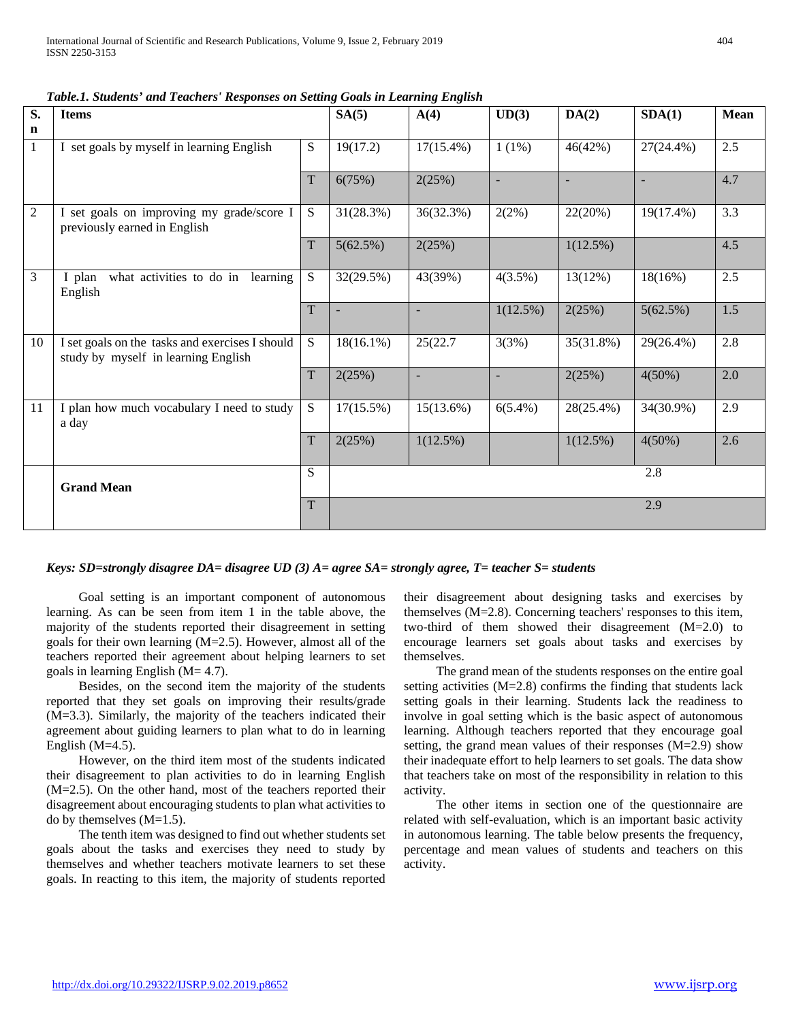| S.          | <b>Items</b>                                                                           |             | SA(5)                    | A(4)                     | UD(3)                    | DA(2)        | SDA(1)       | <b>Mean</b> |
|-------------|----------------------------------------------------------------------------------------|-------------|--------------------------|--------------------------|--------------------------|--------------|--------------|-------------|
| $\mathbf n$ |                                                                                        |             |                          |                          |                          |              |              |             |
| 1           | I set goals by myself in learning English                                              | S           | 19(17.2)                 | $17(15.4\%)$             | $1(1\%)$                 | 46(42%)      | 27(24.4%)    | 2.5         |
|             |                                                                                        | $\mathbf T$ | 6(75%)                   | 2(25%)                   | $\overline{\phantom{a}}$ |              |              | 4.7         |
| 2           | I set goals on improving my grade/score I<br>previously earned in English              |             | 31(28.3%)                | 36(32.3%)                | 2(2%)                    | 22(20%)      | $19(17.4\%)$ | 3.3         |
|             |                                                                                        | $\mathbf T$ | 5(62.5%)                 | 2(25%)                   |                          | 1(12.5%)     |              | 4.5         |
| 3           | what activities to do in learning<br>I plan<br>English                                 | S           | 32(29.5%)                | 43(39%)                  | $4(3.5\%)$               | 13(12%)      | 18(16%)      | 2.5         |
|             |                                                                                        | T           | $\overline{\phantom{a}}$ | $\sim$                   | 1(12.5%)                 | 2(25%)       | 5(62.5%)     | 1.5         |
| 10          | I set goals on the tasks and exercises I should<br>study by myself in learning English | S           | $18(16.1\%)$             | 25(22.7)                 | 3(3%)                    | 35(31.8%)    | 29(26.4%)    | 2.8         |
|             |                                                                                        | T           | 2(25%)                   | $\overline{\phantom{a}}$ | $\overline{\phantom{a}}$ | 2(25%)       | 4(50%)       | 2.0         |
| 11          | I plan how much vocabulary I need to study<br>a day                                    | S           | $17(15.5\%)$             | 15(13.6%)                | $6(5.4\%)$               | $28(25.4\%)$ | 34(30.9%)    | 2.9         |
|             |                                                                                        | $\mathbf T$ | 2(25%)                   | 1(12.5%)                 |                          | 1(12.5%)     | 4(50%)       | 2.6         |
|             | <b>Grand Mean</b>                                                                      | S.          |                          |                          |                          |              | 2.8          |             |
|             |                                                                                        | T           |                          |                          |                          |              | 2.9          |             |

*Table.1. Students' and Teachers' Responses on Setting Goals in Learning English* 

## *Keys: SD=strongly disagree DA= disagree UD (3) A= agree SA= strongly agree, T= teacher S= students*

 Goal setting is an important component of autonomous learning. As can be seen from item 1 in the table above, the majority of the students reported their disagreement in setting goals for their own learning (M=2.5). However, almost all of the teachers reported their agreement about helping learners to set goals in learning English  $(M= 4.7)$ .

 Besides, on the second item the majority of the students reported that they set goals on improving their results/grade (M=3.3). Similarly, the majority of the teachers indicated their agreement about guiding learners to plan what to do in learning English  $(M=4.5)$ .

 However, on the third item most of the students indicated their disagreement to plan activities to do in learning English (M=2.5). On the other hand, most of the teachers reported their disagreement about encouraging students to plan what activities to do by themselves  $(M=1.5)$ .

 The tenth item was designed to find out whether students set goals about the tasks and exercises they need to study by themselves and whether teachers motivate learners to set these goals. In reacting to this item, the majority of students reported

their disagreement about designing tasks and exercises by themselves (M=2.8). Concerning teachers' responses to this item, two-third of them showed their disagreement (M=2.0) to encourage learners set goals about tasks and exercises by themselves.

 The grand mean of the students responses on the entire goal setting activities (M=2.8) confirms the finding that students lack setting goals in their learning. Students lack the readiness to involve in goal setting which is the basic aspect of autonomous learning. Although teachers reported that they encourage goal setting, the grand mean values of their responses (M=2.9) show their inadequate effort to help learners to set goals. The data show that teachers take on most of the responsibility in relation to this activity.

 The other items in section one of the questionnaire are related with self-evaluation, which is an important basic activity in autonomous learning. The table below presents the frequency, percentage and mean values of students and teachers on this activity.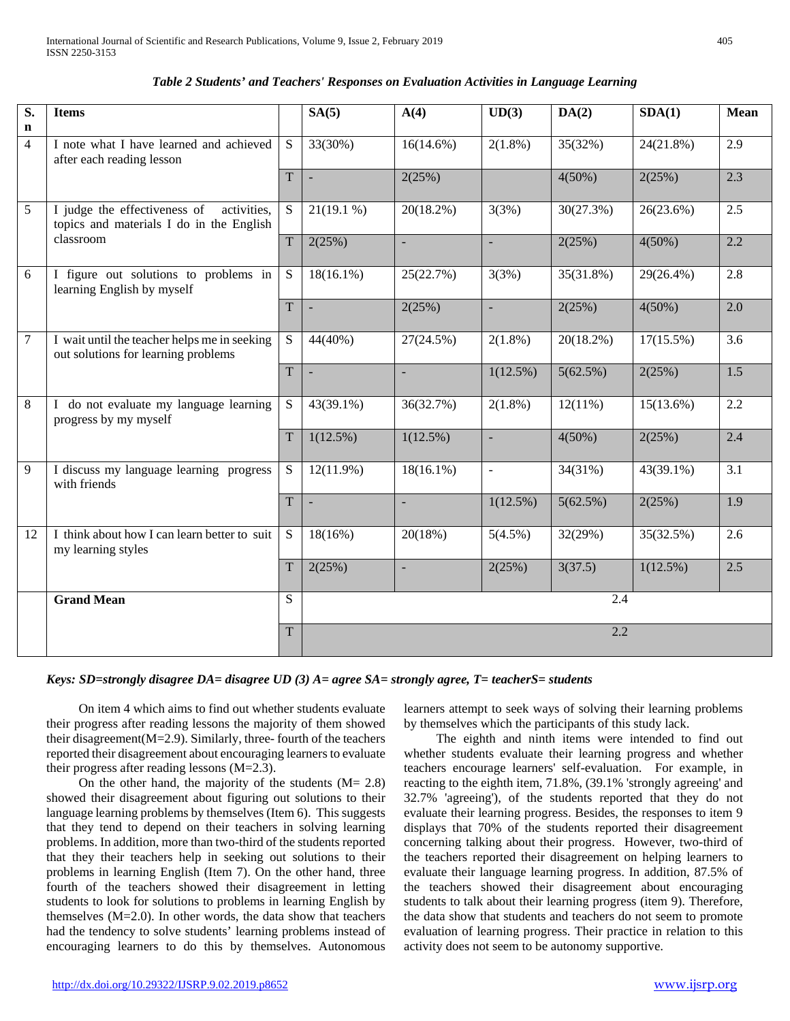| S.              | <b>Items</b>                                                                            |                | SA(5)          | A(4)                     | UD(3)          | DA(2)      | SDA(1)       | Mean             |
|-----------------|-----------------------------------------------------------------------------------------|----------------|----------------|--------------------------|----------------|------------|--------------|------------------|
| $\mathbf n$     |                                                                                         |                |                |                          |                |            |              |                  |
| $\overline{4}$  | I note what I have learned and achieved<br>after each reading lesson                    | S              | 33(30%)        | $16(14.6\%)$             | $2(1.8\%)$     | 35(32%)    | 24(21.8%)    | 2.9              |
|                 |                                                                                         | $\overline{T}$ | $\Box$         | 2(25%)                   |                | $4(50\%)$  | 2(25%)       | 2.3              |
| 5               | I judge the effectiveness of<br>activities,<br>topics and materials I do in the English | S              | $21(19.1\%)$   | 20(18.2%)                | 3(3%)          | 30(27.3%)  | 26(23.6%)    | 2.5              |
|                 | classroom                                                                               | T              | 2(25%)         | $\Box$                   | ÷.             | 2(25%)     | $4(50\%)$    | 2.2              |
| 6               | I figure out solutions to problems in<br>learning English by myself                     | S.             | $18(16.1\%)$   | 25(22.7%)                | 3(3%)          | 35(31.8%)  | 29(26.4%)    | 2.8              |
|                 |                                                                                         | $\overline{T}$ | L.             | 2(25%)                   |                | 2(25%)     | 4(50%)       | $\overline{2.0}$ |
| $7\phantom{.0}$ | I wait until the teacher helps me in seeking<br>out solutions for learning problems     | S              | 44(40%)        | 27(24.5%)                | $2(1.8\%)$     | 20(18.2%)  | $17(15.5\%)$ | 3.6              |
|                 |                                                                                         | T              | $\blacksquare$ | $\overline{\phantom{a}}$ | $1(12.5\%)$    | 5(62.5%)   | 2(25%)       | 1.5              |
| 8               | I do not evaluate my language learning<br>progress by my myself                         | S.             | 43(39.1%)      | 36(32.7%)                | $2(1.8\%)$     | $12(11\%)$ | $15(13.6\%)$ | 2.2              |
|                 |                                                                                         | T              | $1(12.5\%)$    | $1(12.5\%)$              |                | $4(50\%)$  | 2(25%)       | 2.4              |
| 9               | I discuss my language learning progress<br>with friends                                 | S              | $12(11.9\%)$   | $18(16.1\%)$             | $\blacksquare$ | 34(31%)    | 43(39.1%)    | 3.1              |
|                 |                                                                                         | $\overline{T}$ | $\Box$         | $\blacksquare$           | $1(12.5\%)$    | 5(62.5%)   | 2(25%)       | 1.9              |
| 12              | I think about how I can learn better to suit<br>my learning styles                      | S              | $18(16\%)$     | 20(18%)                  | 5(4.5%)        | 32(29%)    | 35(32.5%)    | 2.6              |
|                 |                                                                                         | $\mathbf T$    | 2(25%)         | $\blacksquare$           | 2(25%)         | 3(37.5)    | $1(12.5\%)$  | 2.5              |
|                 | <b>Grand Mean</b>                                                                       | S              |                |                          |                | 2.4        |              |                  |
|                 |                                                                                         | $\overline{T}$ |                |                          |                | 2.2        |              |                  |

| Table 2 Students' and Teachers' Responses on Evaluation Activities in Language Learning |  |  |  |
|-----------------------------------------------------------------------------------------|--|--|--|
|-----------------------------------------------------------------------------------------|--|--|--|

*Keys: SD=strongly disagree DA= disagree UD (3) A= agree SA= strongly agree, T= teacherS= students*

 On item 4 which aims to find out whether students evaluate their progress after reading lessons the majority of them showed their disagreement  $(M=2.9)$ . Similarly, three-fourth of the teachers reported their disagreement about encouraging learners to evaluate their progress after reading lessons (M=2.3).

On the other hand, the majority of the students  $(M= 2.8)$ showed their disagreement about figuring out solutions to their language learning problems by themselves (Item 6). This suggests that they tend to depend on their teachers in solving learning problems. In addition, more than two-third of the students reported that they their teachers help in seeking out solutions to their problems in learning English (Item 7). On the other hand, three fourth of the teachers showed their disagreement in letting students to look for solutions to problems in learning English by themselves (M=2.0). In other words, the data show that teachers had the tendency to solve students' learning problems instead of encouraging learners to do this by themselves. Autonomous

learners attempt to seek ways of solving their learning problems by themselves which the participants of this study lack.

 The eighth and ninth items were intended to find out whether students evaluate their learning progress and whether teachers encourage learners' self-evaluation. For example, in reacting to the eighth item, 71.8%, (39.1% 'strongly agreeing' and 32.7% 'agreeing'), of the students reported that they do not evaluate their learning progress. Besides, the responses to item 9 displays that 70% of the students reported their disagreement concerning talking about their progress. However, two-third of the teachers reported their disagreement on helping learners to evaluate their language learning progress. In addition, 87.5% of the teachers showed their disagreement about encouraging students to talk about their learning progress (item 9). Therefore, the data show that students and teachers do not seem to promote evaluation of learning progress. Their practice in relation to this activity does not seem to be autonomy supportive.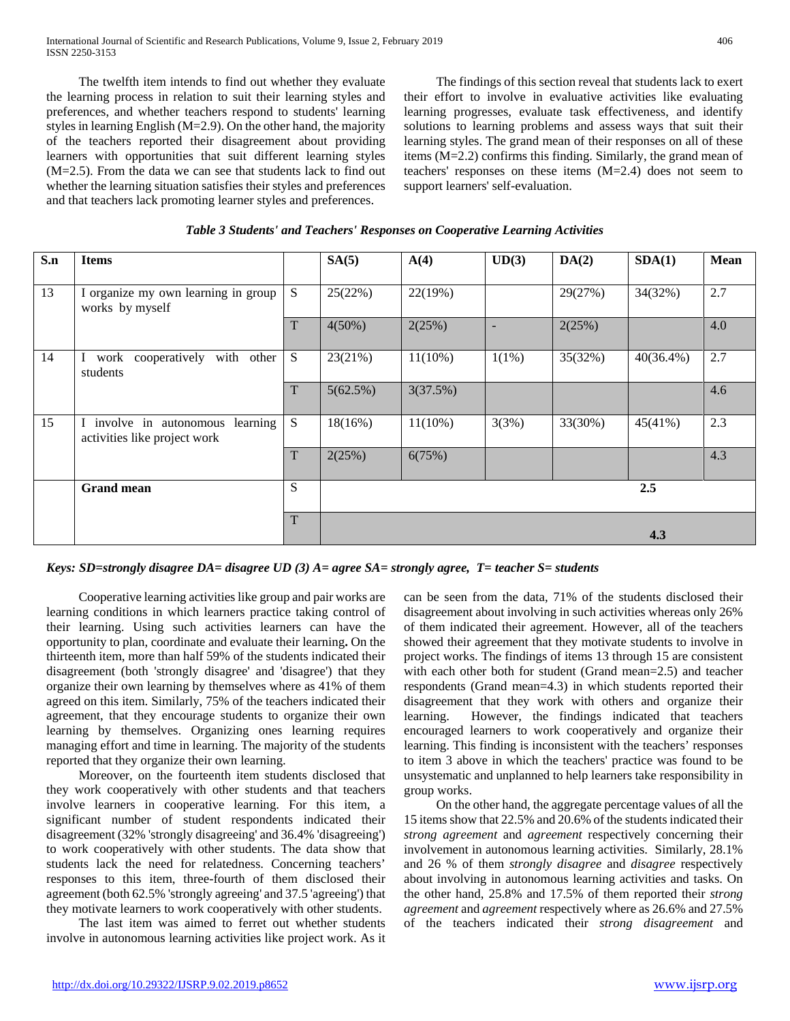The twelfth item intends to find out whether they evaluate the learning process in relation to suit their learning styles and preferences, and whether teachers respond to students' learning styles in learning English (M=2.9). On the other hand, the majority of the teachers reported their disagreement about providing learners with opportunities that suit different learning styles (M=2.5). From the data we can see that students lack to find out whether the learning situation satisfies their styles and preferences and that teachers lack promoting learner styles and preferences.

 The findings of this section reveal that students lack to exert their effort to involve in evaluative activities like evaluating learning progresses, evaluate task effectiveness, and identify solutions to learning problems and assess ways that suit their learning styles. The grand mean of their responses on all of these items (M=2.2) confirms this finding. Similarly, the grand mean of teachers' responses on these items (M=2.4) does not seem to support learners' self-evaluation.

| S.n | <b>Items</b>                                                        |   | SA(5)      | A(4)       | UD(3)                    | DA(2)   | SDA(1)       | <b>Mean</b> |
|-----|---------------------------------------------------------------------|---|------------|------------|--------------------------|---------|--------------|-------------|
|     |                                                                     |   |            |            |                          |         |              |             |
| 13  | I organize my own learning in group<br>works by myself              | S | 25(22%)    | 22(19%)    |                          | 29(27%) | 34(32%)      | 2.7         |
|     |                                                                     | T | $4(50\%)$  | 2(25%)     | $\overline{\phantom{a}}$ | 2(25%)  |              | 4.0         |
| 14  | with<br>cooperatively<br>other<br>I work<br>students                | S | 23(21%)    | $11(10\%)$ | $1(1\%)$                 | 35(32%) | $40(36.4\%)$ | 2.7         |
|     |                                                                     | T | 5(62.5%)   | 3(37.5%)   |                          |         |              | 4.6         |
| 15  | I involve in autonomous<br>learning<br>activities like project work | S | $18(16\%)$ | $11(10\%)$ | 3(3%)                    | 33(30%) | 45(41%)      | 2.3         |
|     |                                                                     | T | 2(25%)     | 6(75%)     |                          |         |              | 4.3         |
|     | <b>Grand mean</b>                                                   | S |            |            |                          |         | 2.5          |             |
|     |                                                                     | T |            |            |                          |         | 4.3          |             |

## *Table 3 Students' and Teachers' Responses on Cooperative Learning Activities*

*Keys: SD=strongly disagree DA= disagree UD (3) A= agree SA= strongly agree, T= teacher S= students*

 Cooperative learning activities like group and pair works are learning conditions in which learners practice taking control of their learning. Using such activities learners can have the opportunity to plan, coordinate and evaluate their learning**.** On the thirteenth item, more than half 59% of the students indicated their disagreement (both 'strongly disagree' and 'disagree') that they organize their own learning by themselves where as 41% of them agreed on this item. Similarly, 75% of the teachers indicated their agreement, that they encourage students to organize their own learning by themselves. Organizing ones learning requires managing effort and time in learning. The majority of the students reported that they organize their own learning.

 Moreover, on the fourteenth item students disclosed that they work cooperatively with other students and that teachers involve learners in cooperative learning. For this item, a significant number of student respondents indicated their disagreement (32% 'strongly disagreeing' and 36.4% 'disagreeing') to work cooperatively with other students. The data show that students lack the need for relatedness. Concerning teachers' responses to this item, three-fourth of them disclosed their agreement (both 62.5% 'strongly agreeing' and 37.5 'agreeing') that they motivate learners to work cooperatively with other students.

 The last item was aimed to ferret out whether students involve in autonomous learning activities like project work. As it can be seen from the data, 71% of the students disclosed their disagreement about involving in such activities whereas only 26% of them indicated their agreement. However, all of the teachers showed their agreement that they motivate students to involve in project works. The findings of items 13 through 15 are consistent with each other both for student (Grand mean=2.5) and teacher respondents (Grand mean=4.3) in which students reported their disagreement that they work with others and organize their learning. However, the findings indicated that teachers encouraged learners to work cooperatively and organize their learning. This finding is inconsistent with the teachers' responses to item 3 above in which the teachers' practice was found to be unsystematic and unplanned to help learners take responsibility in group works.

 On the other hand, the aggregate percentage values of all the 15 items show that 22.5% and 20.6% of the students indicated their *strong agreement* and *agreement* respectively concerning their involvement in autonomous learning activities. Similarly, 28.1% and 26 % of them *strongly disagree* and *disagree* respectively about involving in autonomous learning activities and tasks. On the other hand, 25.8% and 17.5% of them reported their *strong agreement* and *agreement* respectively where as 26.6% and 27.5% of the teachers indicated their *strong disagreement* and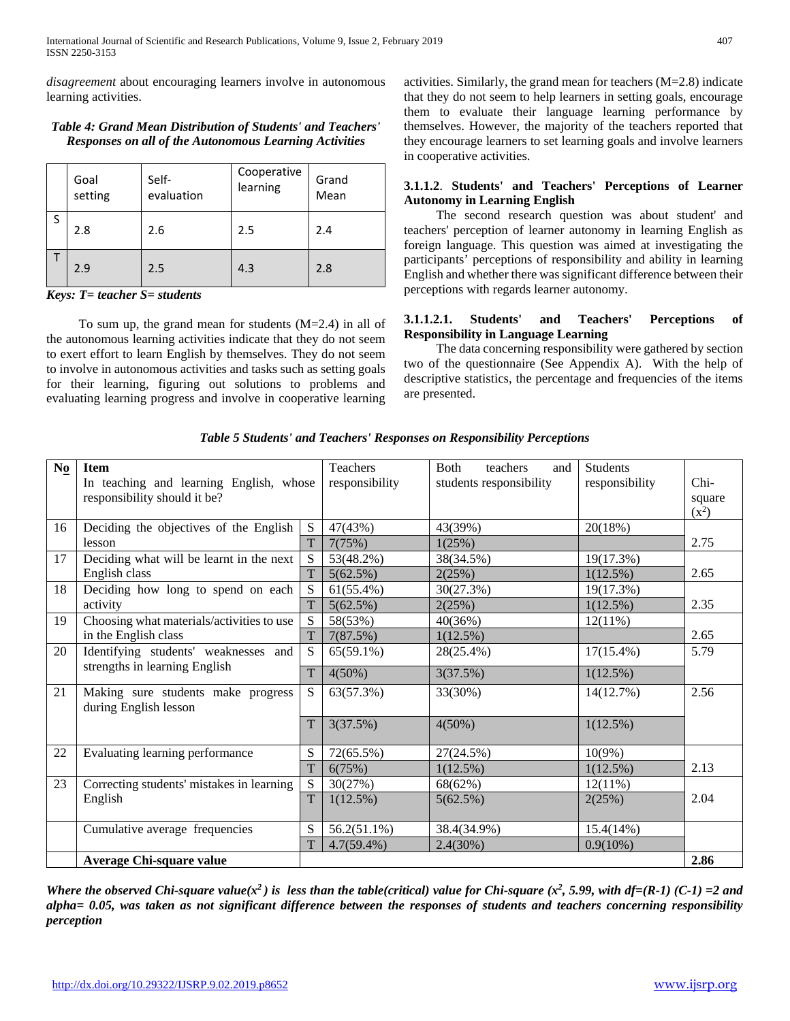*disagreement* about encouraging learners involve in autonomous learning activities.

## *Table 4: Grand Mean Distribution of Students' and Teachers' Responses on all of the Autonomous Learning Activities*

|   | Goal<br>setting | Self-<br>evaluation | Cooperative<br>learning | Grand<br>Mean |
|---|-----------------|---------------------|-------------------------|---------------|
| S | 2.8             | 2.6                 | 2.5                     | 2.4           |
|   | 2.9             | 2.5                 | 4.3                     | 2.8           |

*Keys: T= teacher S= students*

To sum up, the grand mean for students  $(M=2.4)$  in all of the autonomous learning activities indicate that they do not seem to exert effort to learn English by themselves. They do not seem to involve in autonomous activities and tasks such as setting goals for their learning, figuring out solutions to problems and evaluating learning progress and involve in cooperative learning activities. Similarly, the grand mean for teachers (M=2.8) indicate that they do not seem to help learners in setting goals, encourage them to evaluate their language learning performance by themselves. However, the majority of the teachers reported that they encourage learners to set learning goals and involve learners in cooperative activities.

## **3.1.1.2**. **Students' and Teachers' Perceptions of Learner Autonomy in Learning English**

 The second research question was about student' and teachers' perception of learner autonomy in learning English as foreign language. This question was aimed at investigating the participants' perceptions of responsibility and ability in learning English and whether there was significant difference between their perceptions with regards learner autonomy.

## **3.1.1.2.1. Students' and Teachers' Perceptions of Responsibility in Language Learning**

 The data concerning responsibility were gathered by section two of the questionnaire (See Appendix A). With the help of descriptive statistics, the percentage and frequencies of the items are presented.

| N <sub>0</sub> | <b>Item</b>                                                 |             | <b>Teachers</b> | Both<br>teachers<br>and | <b>Students</b> |         |
|----------------|-------------------------------------------------------------|-------------|-----------------|-------------------------|-----------------|---------|
|                | In teaching and learning English, whose                     |             | responsibility  | students responsibility | responsibility  | $Chi-$  |
|                | responsibility should it be?                                |             |                 |                         |                 | square  |
|                |                                                             |             |                 |                         |                 | $(x^2)$ |
| 16             | Deciding the objectives of the English                      | S           | 47(43%)         | 43(39%)                 | 20(18%)         |         |
|                | lesson                                                      | T           | 7(75%)          | 1(25%)                  |                 | 2.75    |
| 17             | Deciding what will be learnt in the next                    | ${\bf S}$   | 53(48.2%)       | 38(34.5%)               | 19(17.3%)       |         |
|                | English class                                               | T           | 5(62.5%)        | 2(25%)                  | 1(12.5%)        | 2.65    |
| 18             | Deciding how long to spend on each                          | S           | 61(55.4%)       | 30(27.3%)               | 19(17.3%)       |         |
|                | activity                                                    | T           | 5(62.5%)        | 2(25%)                  | $1(12.5\%)$     | 2.35    |
| 19             | Choosing what materials/activities to use                   | ${\bf S}$   | 58(53%)         | 40(36%)                 | $12(11\%)$      |         |
|                | in the English class                                        | T           | 7(87.5%)        | 1(12.5%)                |                 | 2.65    |
| 20             | Identifying students' weaknesses and                        | S           | $65(59.1\%)$    | 28(25.4%)               | $17(15.4\%)$    | 5.79    |
|                | strengths in learning English                               | T           | $4(50\%)$       | 3(37.5%)                | 1(12.5%)        |         |
| 21             | Making sure students make progress<br>during English lesson | S           | 63(57.3%)       | 33(30%)                 | 14(12.7%)       | 2.56    |
|                |                                                             | $\mathbf T$ | 3(37.5%)        | $4(50\%)$               | 1(12.5%)        |         |
| 22             | Evaluating learning performance                             | S           | 72(65.5%)       | 27(24.5%)               | $10(9\%)$       |         |
|                |                                                             | T           | 6(75%)          | $1(12.5\%)$             | $1(12.5\%)$     | 2.13    |
| 23             | Correcting students' mistakes in learning                   | ${\bf S}$   | 30(27%)         | 68(62%)                 | $12(11\%)$      |         |
|                | English                                                     | T           | $1(12.5\%)$     | 5(62.5%)                | 2(25%)          | 2.04    |
|                | Cumulative average frequencies                              | S           | $56.2(51.1\%)$  | 38.4(34.9%)             | 15.4(14%)       |         |
|                |                                                             | T           | $4.7(59.4\%)$   | 2.4(30%)                | $0.9(10\%)$     |         |
|                | <b>Average Chi-square value</b>                             |             |                 |                         |                 | 2.86    |

*Table 5 Students' and Teachers' Responses on Responsibility Perceptions*

Where the observed Chi-square value( $x^2$ ) is less than the table(critical) value for Chi-square ( $x^2$ , 5.99, with df=(R-1) (C-1) =2 and *alpha= 0.05, was taken as not significant difference between the responses of students and teachers concerning responsibility perception*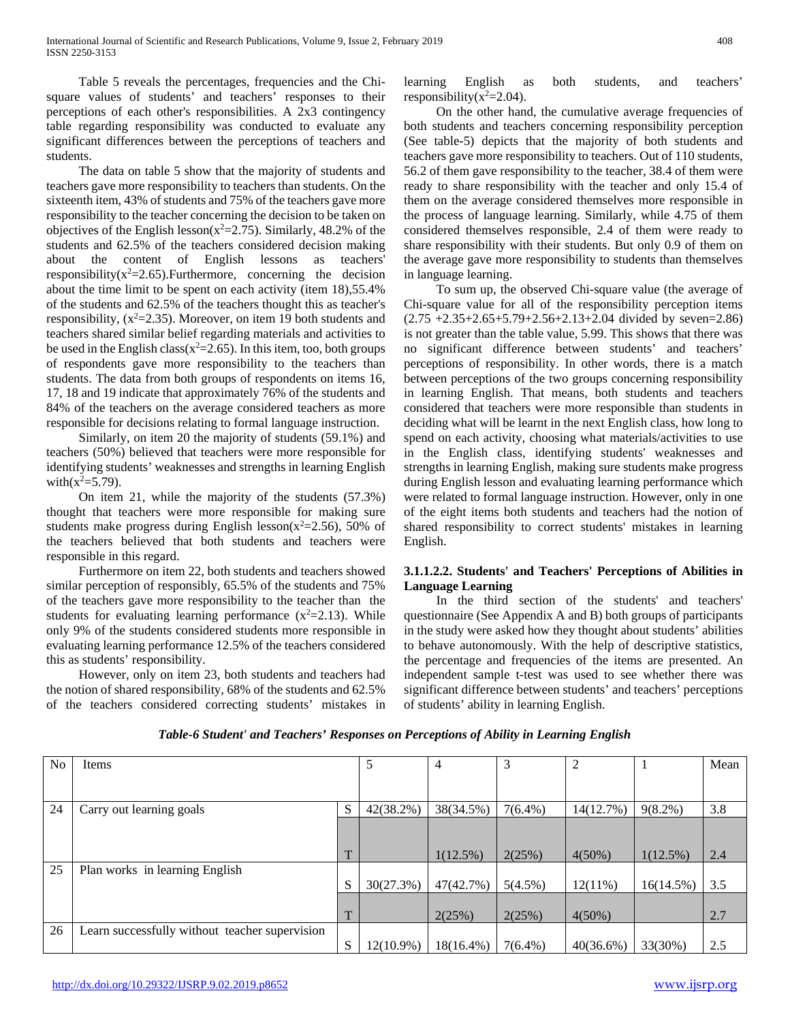Table 5 reveals the percentages, frequencies and the Chisquare values of students' and teachers' responses to their perceptions of each other's responsibilities. A 2x3 contingency table regarding responsibility was conducted to evaluate any significant differences between the perceptions of teachers and students.

 The data on table 5 show that the majority of students and teachers gave more responsibility to teachers than students. On the sixteenth item, 43% of students and 75% of the teachers gave more responsibility to the teacher concerning the decision to be taken on objectives of the English lesson( $x^2$ =2.75). Similarly, 48.2% of the students and 62.5% of the teachers considered decision making about the content of English lessons as teachers' responsibility( $x^2$ =2.65). Furthermore, concerning the decision about the time limit to be spent on each activity (item 18),55.4% of the students and 62.5% of the teachers thought this as teacher's responsibility,  $(x^2=2.35)$ . Moreover, on item 19 both students and teachers shared similar belief regarding materials and activities to be used in the English class( $x^2=2.65$ ). In this item, too, both groups of respondents gave more responsibility to the teachers than students. The data from both groups of respondents on items 16, 17, 18 and 19 indicate that approximately 76% of the students and 84% of the teachers on the average considered teachers as more responsible for decisions relating to formal language instruction.

 Similarly, on item 20 the majority of students (59.1%) and teachers (50%) believed that teachers were more responsible for identifying students' weaknesses and strengths in learning English with $(x^2=5.79)$ .

 On item 21, while the majority of the students (57.3%) thought that teachers were more responsible for making sure students make progress during English lesson( $x^2$ =2.56), 50% of the teachers believed that both students and teachers were responsible in this regard.

 Furthermore on item 22, both students and teachers showed similar perception of responsibly, 65.5% of the students and 75% of the teachers gave more responsibility to the teacher than the students for evaluating learning performance  $(x^2=2.13)$ . While only 9% of the students considered students more responsible in evaluating learning performance 12.5% of the teachers considered this as students' responsibility.

 However, only on item 23, both students and teachers had the notion of shared responsibility, 68% of the students and 62.5% of the teachers considered correcting students' mistakes in

learning English as both students, and teachers' responsibility( $x^2$ =2.04).

 On the other hand, the cumulative average frequencies of both students and teachers concerning responsibility perception (See table-5) depicts that the majority of both students and teachers gave more responsibility to teachers. Out of 110 students, 56.2 of them gave responsibility to the teacher, 38.4 of them were ready to share responsibility with the teacher and only 15.4 of them on the average considered themselves more responsible in the process of language learning. Similarly, while 4.75 of them considered themselves responsible, 2.4 of them were ready to share responsibility with their students. But only 0.9 of them on the average gave more responsibility to students than themselves in language learning.

 To sum up, the observed Chi-square value (the average of Chi-square value for all of the responsibility perception items  $(2.75 + 2.35 + 2.65 + 5.79 + 2.56 + 2.13 + 2.04$  divided by seven=2.86) is not greater than the table value, 5.99. This shows that there was no significant difference between students' and teachers' perceptions of responsibility. In other words, there is a match between perceptions of the two groups concerning responsibility in learning English. That means, both students and teachers considered that teachers were more responsible than students in deciding what will be learnt in the next English class, how long to spend on each activity, choosing what materials/activities to use in the English class, identifying students' weaknesses and strengths in learning English, making sure students make progress during English lesson and evaluating learning performance which were related to formal language instruction. However, only in one of the eight items both students and teachers had the notion of shared responsibility to correct students' mistakes in learning English.

## **3.1.1.2.2. Students' and Teachers' Perceptions of Abilities in Language Learning**

 In the third section of the students' and teachers' questionnaire (See Appendix A and B) both groups of participants in the study were asked how they thought about students' abilities to behave autonomously. With the help of descriptive statistics, the percentage and frequencies of the items are presented. An independent sample t-test was used to see whether there was significant difference between students' and teachers' perceptions of students' ability in learning English.

| N <sub>o</sub> | <b>Items</b>                                   |   | 5         | 4            | 3          | $\overline{2}$ |            | Mean |
|----------------|------------------------------------------------|---|-----------|--------------|------------|----------------|------------|------|
|                |                                                |   |           |              |            |                |            |      |
| 24             | Carry out learning goals                       | S | 42(38.2%) | 38(34.5%)    | $7(6.4\%)$ | 14(12.7%)      | $9(8.2\%)$ | 3.8  |
|                |                                                | T |           | $1(12.5\%)$  | 2(25%)     | $4(50\%)$      | 1(12.5%)   | 2.4  |
| 25             | Plan works in learning English                 | S | 30(27.3%) | 47(42.7%)    | $5(4.5\%)$ | $12(11\%)$     | 16(14.5%)  | 3.5  |
|                |                                                | T |           | 2(25%)       | 2(25%)     | $4(50\%)$      |            | 2.7  |
| 26             | Learn successfully without teacher supervision | S | 12(10.9%) | $18(16.4\%)$ | $7(6.4\%)$ | $40(36.6\%)$   | 33(30%)    | 2.5  |

## *Table-6 Student' and Teachers' Responses on Perceptions of Ability in Learning English*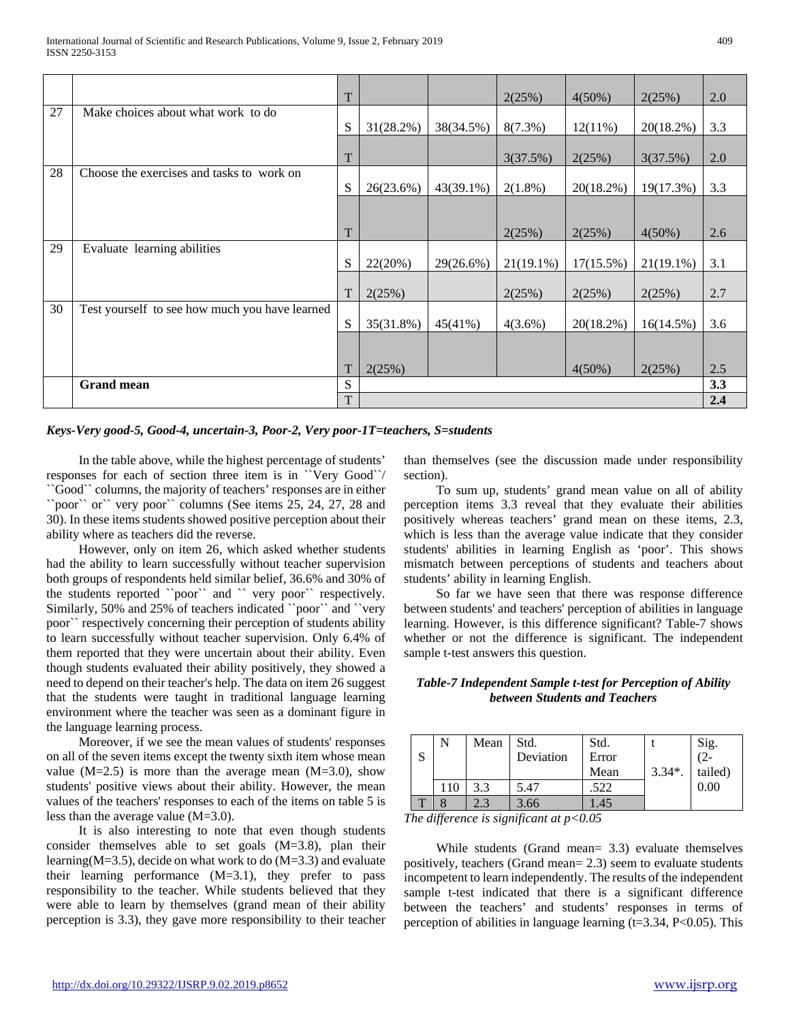|    |                                                | T |           |              | 2(25%)       | $4(50\%)$  | 2(25%)       | 2.0 |
|----|------------------------------------------------|---|-----------|--------------|--------------|------------|--------------|-----|
| 27 | Make choices about what work to do             | S | 31(28.2%) | 38(34.5%)    | $8(7.3\%)$   | $12(11\%)$ | 20(18.2%)    | 3.3 |
|    |                                                | T |           |              | 3(37.5%)     | 2(25%)     | 3(37.5%)     | 2.0 |
| 28 | Choose the exercises and tasks to work on      | S | 26(23.6%) | $43(39.1\%)$ | $2(1.8\%)$   | 20(18.2%)  | 19(17.3%)    | 3.3 |
|    |                                                |   |           |              |              |            |              |     |
|    |                                                | T |           |              | 2(25%)       | 2(25%)     | $4(50\%)$    | 2.6 |
| 29 | Evaluate learning abilities                    |   |           |              |              |            |              |     |
|    |                                                | S | 22(20%)   | 29(26.6%)    | $21(19.1\%)$ | 17(15.5%)  | $21(19.1\%)$ | 3.1 |
|    |                                                | T | 2(25%)    |              | 2(25%)       | 2(25%)     | 2(25%)       | 2.7 |
| 30 | Test yourself to see how much you have learned | S | 35(31.8%) | 45(41%)      | $4(3.6\%)$   | 20(18.2%)  | 16(14.5%)    | 3.6 |
|    |                                                |   |           |              |              |            |              |     |
|    |                                                | T | 2(25%)    |              |              | $4(50\%)$  | 2(25%)       | 2.5 |
|    | <b>Grand mean</b>                              | S |           |              |              |            |              | 3.3 |
|    |                                                | T |           |              |              |            |              | 2.4 |

*Keys-Very good-5, Good-4, uncertain-3, Poor-2, Very poor-1T=teachers, S=students*

 In the table above, while the highest percentage of students' responses for each of section three item is in ``Very Good``/ ``Good`` columns, the majority of teachers' responses are in either ``poor`` or`` very poor`` columns (See items 25, 24, 27, 28 and 30). In these items students showed positive perception about their ability where as teachers did the reverse.

 However, only on item 26, which asked whether students had the ability to learn successfully without teacher supervision both groups of respondents held similar belief, 36.6% and 30% of the students reported ``poor`` and `` very poor`` respectively. Similarly, 50% and 25% of teachers indicated ``poor`` and ``very poor`` respectively concerning their perception of students ability to learn successfully without teacher supervision. Only 6.4% of them reported that they were uncertain about their ability. Even though students evaluated their ability positively, they showed a need to depend on their teacher's help. The data on item 26 suggest that the students were taught in traditional language learning environment where the teacher was seen as a dominant figure in the language learning process.

 Moreover, if we see the mean values of students' responses on all of the seven items except the twenty sixth item whose mean value  $(M=2.5)$  is more than the average mean  $(M=3.0)$ , show students' positive views about their ability. However, the mean values of the teachers' responses to each of the items on table 5 is less than the average value (M=3.0).

 It is also interesting to note that even though students consider themselves able to set goals (M=3.8), plan their learning(M=3.5), decide on what work to do  $(M=3.3)$  and evaluate their learning performance (M=3.1), they prefer to pass responsibility to the teacher. While students believed that they were able to learn by themselves (grand mean of their ability perception is 3.3), they gave more responsibility to their teacher

than themselves (see the discussion made under responsibility section).

 To sum up, students' grand mean value on all of ability perception items 3.3 reveal that they evaluate their abilities positively whereas teachers' grand mean on these items, 2.3, which is less than the average value indicate that they consider students' abilities in learning English as 'poor'. This shows mismatch between perceptions of students and teachers about students' ability in learning English.

 So far we have seen that there was response difference between students' and teachers' perception of abilities in language learning. However, is this difference significant? Table-7 shows whether or not the difference is significant. The independent sample t-test answers this question.

## *Table-7 Independent Sample t-test for Perception of Ability between Students and Teachers*

| S | N   | Mean | Std.<br>Deviation | Std.<br>Error<br>Mean | $3.34*$ | Sig.<br>$(2-$<br>tailed) |
|---|-----|------|-------------------|-----------------------|---------|--------------------------|
|   | 110 | 3.3  | 5.47              | 522                   |         | 0.00                     |
|   |     |      | 3.66              | .45                   |         |                          |

*The difference is significant at p<0.05*

 While students (Grand mean= 3.3) evaluate themselves positively, teachers (Grand mean= 2.3) seem to evaluate students incompetent to learn independently. The results of the independent sample t-test indicated that there is a significant difference between the teachers' and students' responses in terms of perception of abilities in language learning  $(t=3.34, P<0.05)$ . This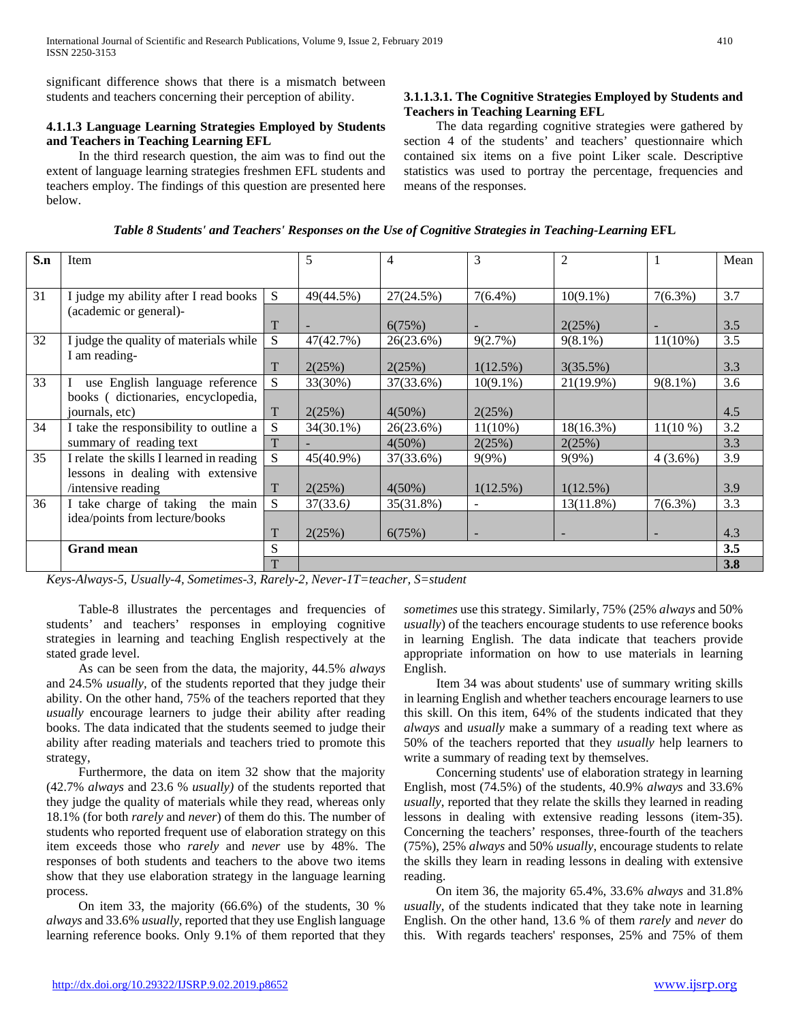significant difference shows that there is a mismatch between students and teachers concerning their perception of ability.

## **4.1.1.3 Language Learning Strategies Employed by Students and Teachers in Teaching Learning EFL**

 In the third research question, the aim was to find out the extent of language learning strategies freshmen EFL students and teachers employ. The findings of this question are presented here below.

## **3.1.1.3.1. The Cognitive Strategies Employed by Students and Teachers in Teaching Learning EFL**

 The data regarding cognitive strategies were gathered by section 4 of the students' and teachers' questionnaire which contained six items on a five point Liker scale. Descriptive statistics was used to portray the percentage, frequencies and means of the responses.

| S.n          | Item                                                                        |    | 5                         | 4                         | 3                        | $\overline{2}$ |            | Mean |
|--------------|-----------------------------------------------------------------------------|----|---------------------------|---------------------------|--------------------------|----------------|------------|------|
|              |                                                                             |    |                           |                           |                          |                |            |      |
| 31           | I judge my ability after I read books                                       | S. | 49(44.5%)                 | 27(24.5%)                 | $7(6.4\%)$               | $10(9.1\%)$    | $7(6.3\%)$ | 3.7  |
|              | (academic or general)-                                                      |    |                           |                           |                          |                |            |      |
|              |                                                                             | T  |                           | 6(75%)                    |                          | 2(25%)         |            | 3.5  |
| 32           | I judge the quality of materials while                                      | S  | 47(42.7%)                 | 26(23.6%)                 | 9(2.7%)                  | $9(8.1\%)$     | $11(10\%)$ | 3.5  |
|              | I am reading-                                                               |    |                           |                           |                          |                |            |      |
|              |                                                                             | T  | 2(25%)                    | 2(25%)                    | 1(12.5%)                 | 3(35.5%)       |            | 3.3  |
| 33           | use English language reference                                              | S. | 33(30%)                   | 37(33.6%)                 | $10(9.1\%)$              | 21(19.9%)      | $9(8.1\%)$ | 3.6  |
|              | books (dictionaries, encyclopedia,                                          |    |                           |                           |                          |                |            |      |
|              | journals, etc)                                                              | T  | 2(25%)                    | $4(50\%)$                 | 2(25%)                   |                |            | 4.5  |
| 34           | I take the responsibility to outline a                                      | S  | 34(30.1%)                 | 26(23.6%)                 | $11(10\%)$               | 18(16.3%)      | $11(10\%)$ | 3.2  |
|              | summary of reading text                                                     | T  |                           | $4(50\%)$                 | 2(25%)                   | 2(25%)         |            | 3.3  |
| 35           | I relate the skills I learned in reading                                    | S. | 45(40.9%)                 | 37(33.6%)                 | 9(9%)                    | 9(9%)          | $4(3.6\%)$ | 3.9  |
|              | lessons in dealing with extensive                                           |    |                           |                           |                          |                |            |      |
|              | /intensive reading                                                          | T  | 2(25%)                    | $4(50\%)$                 | 1(12.5%)                 | 1(12.5%)       |            | 3.9  |
| 36           | I take charge of taking the main                                            | S  | 37(33.6)                  | 35(31.8%)                 | $\overline{\phantom{a}}$ | 13(11.8%)      | $7(6.3\%)$ | 3.3  |
|              | idea/points from lecture/books                                              |    |                           |                           |                          |                |            |      |
|              |                                                                             |    | 2(25%)                    | 6(75%)                    |                          |                |            | 4.3  |
|              | <b>Grand mean</b>                                                           | S  |                           |                           |                          |                |            | 3.5  |
|              |                                                                             |    |                           |                           |                          |                |            | 3.8  |
| $\mathbf{r}$ | $\tau$ $\tau$<br>$\mathbf{u}$ $\mathbf{u}$ $\mathbf{u}$<br>2n<br>$\sqrt{1}$ |    | $\mathbf{1}$ $\mathbf{2}$ | $1/T$ $1$ $1$ $1$ $1$ $1$ |                          |                |            |      |

*Table 8 Students' and Teachers' Responses on the Use of Cognitive Strategies in Teaching-Learning* **EFL**

*Keys-Always-5, Usually-4, Sometimes-3, Rarely-2, Never-1T=teacher, S=student*

 Table-8 illustrates the percentages and frequencies of students' and teachers' responses in employing cognitive strategies in learning and teaching English respectively at the stated grade level.

 As can be seen from the data, the majority, 44.5% *always* and 24.5% *usually,* of the students reported that they judge their ability. On the other hand, 75% of the teachers reported that they *usually* encourage learners to judge their ability after reading books. The data indicated that the students seemed to judge their ability after reading materials and teachers tried to promote this strategy,

 Furthermore, the data on item 32 show that the majority (42.7% *always* and 23.6 % *usually)* of the students reported that they judge the quality of materials while they read, whereas only 18.1% (for both *rarely* and *never*) of them do this. The number of students who reported frequent use of elaboration strategy on this item exceeds those who *rarely* and *never* use by 48%. The responses of both students and teachers to the above two items show that they use elaboration strategy in the language learning process.

 On item 33, the majority (66.6%) of the students, 30 % *always* and 33.6% *usually*, reported that they use English language learning reference books. Only 9.1% of them reported that they

*sometimes* use this strategy. Similarly, 75% (25% *always* and 50% *usually*) of the teachers encourage students to use reference books in learning English. The data indicate that teachers provide appropriate information on how to use materials in learning English.

 Item 34 was about students' use of summary writing skills in learning English and whether teachers encourage learners to use this skill. On this item, 64% of the students indicated that they *always* and *usually* make a summary of a reading text where as 50% of the teachers reported that they *usually* help learners to write a summary of reading text by themselves.

 Concerning students' use of elaboration strategy in learning English, most (74.5%) of the students, 40.9% *always* and 33.6% *usually*, reported that they relate the skills they learned in reading lessons in dealing with extensive reading lessons (item-35). Concerning the teachers' responses, three-fourth of the teachers (75%), 25% *always* and 50% *usually*, encourage students to relate the skills they learn in reading lessons in dealing with extensive reading.

 On item 36, the majority 65.4%, 33.6% *always* and 31.8% *usually*, of the students indicated that they take note in learning English. On the other hand, 13.6 % of them *rarely* and *never* do this. With regards teachers' responses, 25% and 75% of them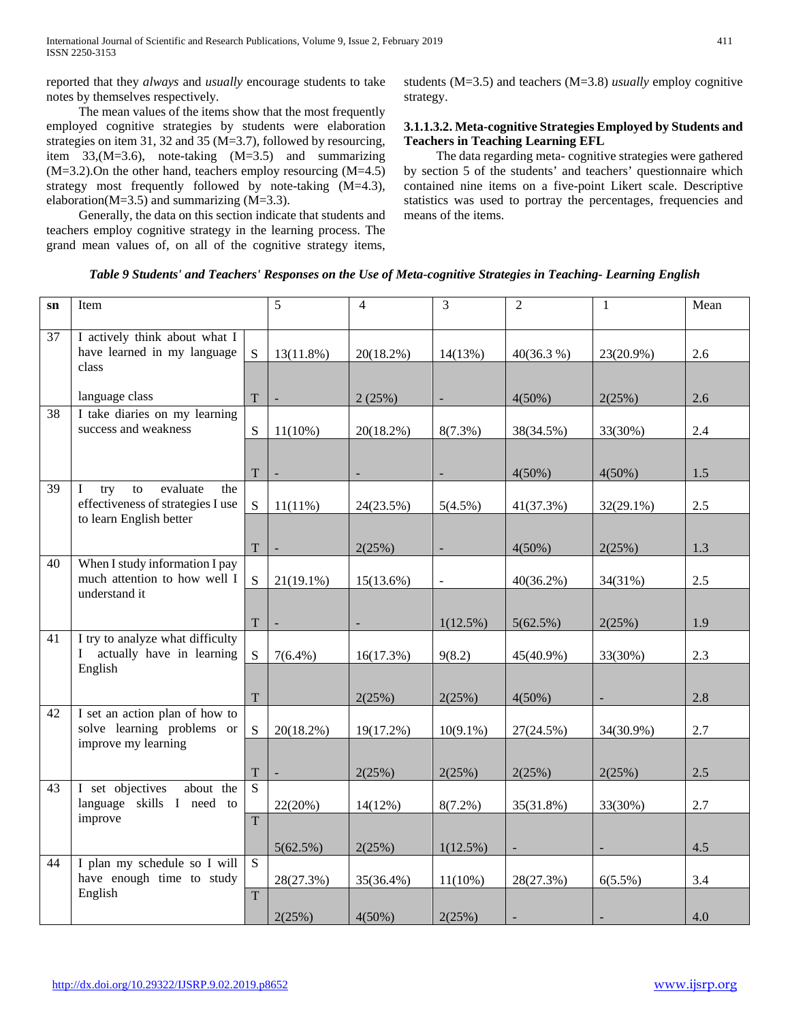reported that they *always* and *usually* encourage students to take notes by themselves respectively.

 The mean values of the items show that the most frequently employed cognitive strategies by students were elaboration strategies on item 31, 32 and 35 (M=3.7), followed by resourcing, item 33,(M=3.6), note-taking (M=3.5) and summarizing (M=3.2).On the other hand, teachers employ resourcing (M=4.5) strategy most frequently followed by note-taking (M=4.3), elaboration( $M=3.5$ ) and summarizing ( $M=3.3$ ).

 Generally, the data on this section indicate that students and teachers employ cognitive strategy in the learning process. The grand mean values of, on all of the cognitive strategy items,

students (M=3.5) and teachers (M=3.8) *usually* employ cognitive strategy.

## **3.1.1.3.2. Meta-cognitive Strategies Employed by Students and Teachers in Teaching Learning EFL**

 The data regarding meta- cognitive strategies were gathered by section 5 of the students' and teachers' questionnaire which contained nine items on a five-point Likert scale. Descriptive statistics was used to portray the percentages, frequencies and means of the items.

*Table 9 Students' and Teachers' Responses on the Use of Meta-cognitive Strategies in Teaching- Learning English*

| $\mathbf{sn}$ | Item                                                                                                     |                     | 5                            | $\overline{4}$ | $\overline{3}$           | $\overline{2}$ | 1            | Mean |
|---------------|----------------------------------------------------------------------------------------------------------|---------------------|------------------------------|----------------|--------------------------|----------------|--------------|------|
| 37            | I actively think about what I<br>have learned in my language<br>class                                    | <sub>S</sub>        | $13(11.8\%)$                 | 20(18.2%)      | 14(13%)                  | 40(36.3%)      | 23(20.9%)    | 2.6  |
|               | language class                                                                                           | $\mathbf T$         | $\qquad \qquad \blacksquare$ | 2(25%)         | $\frac{1}{2}$            | 4(50%)         | 2(25%)       | 2.6  |
| 38            | I take diaries on my learning<br>success and weakness                                                    | S                   | $11(10\%)$                   | 20(18.2%)      | $8(7.3\%)$               | 38(34.5%)      | 33(30%)      | 2.4  |
|               |                                                                                                          | T                   |                              |                | $\overline{\phantom{a}}$ | $4(50\%)$      | $4(50\%)$    | 1.5  |
| 39            | evaluate<br>$\bf{I}$<br>try<br>to<br>the<br>effectiveness of strategies I use<br>to learn English better | S                   | $11(11\%)$                   | 24(23.5%)      | $5(4.5\%)$               | 41(37.3%)      | $32(29.1\%)$ | 2.5  |
|               |                                                                                                          | T                   | ÷,                           | 2(25%)         |                          | $4(50\%)$      | 2(25%)       | 1.3  |
| 40            | When I study information I pay<br>much attention to how well I<br>understand it                          | S                   | $21(19.1\%)$                 | 15(13.6%)      | $\blacksquare$           | $40(36.2\%)$   | 34(31%)      | 2.5  |
|               |                                                                                                          | T                   |                              |                | 1(12.5%)                 | 5(62.5%)       | 2(25%)       | 1.9  |
| 41            | I try to analyze what difficulty<br>I actually have in learning<br>English                               | S                   | $7(6.4\%)$                   | 16(17.3%)      | 9(8.2)                   | 45(40.9%)      | 33(30%)      | 2.3  |
|               |                                                                                                          | $\mathbf T$         |                              | 2(25%)         | 2(25%)                   | $4(50\%)$      |              | 2.8  |
| 42            | I set an action plan of how to<br>solve learning problems or<br>improve my learning                      | S                   | $20(18.2\%)$                 | 19(17.2%)      | $10(9.1\%)$              | 27(24.5%)      | 34(30.9%)    | 2.7  |
|               |                                                                                                          | $\mathbf T$         |                              | 2(25%)         | 2(25%)                   | 2(25%)         | 2(25%)       | 2.5  |
| 43            | I set objectives<br>about the<br>language skills I need to<br>improve                                    | $\overline{S}$<br>T | 22(20%)                      | 14(12%)        | $8(7.2\%)$               | 35(31.8%)      | 33(30%)      | 2.7  |
|               |                                                                                                          |                     | 5(62.5%)                     | 2(25%)         | $1(12.5\%)$              |                |              | 4.5  |
| 44            | I plan my schedule so I will<br>have enough time to study<br>English                                     | S                   | 28(27.3%)                    | 35(36.4%)      | $11(10\%)$               | 28(27.3%)      | $6(5.5\%)$   | 3.4  |
|               |                                                                                                          | $\overline{T}$      | 2(25%)                       | $4(50\%)$      | 2(25%)                   |                |              | 4.0  |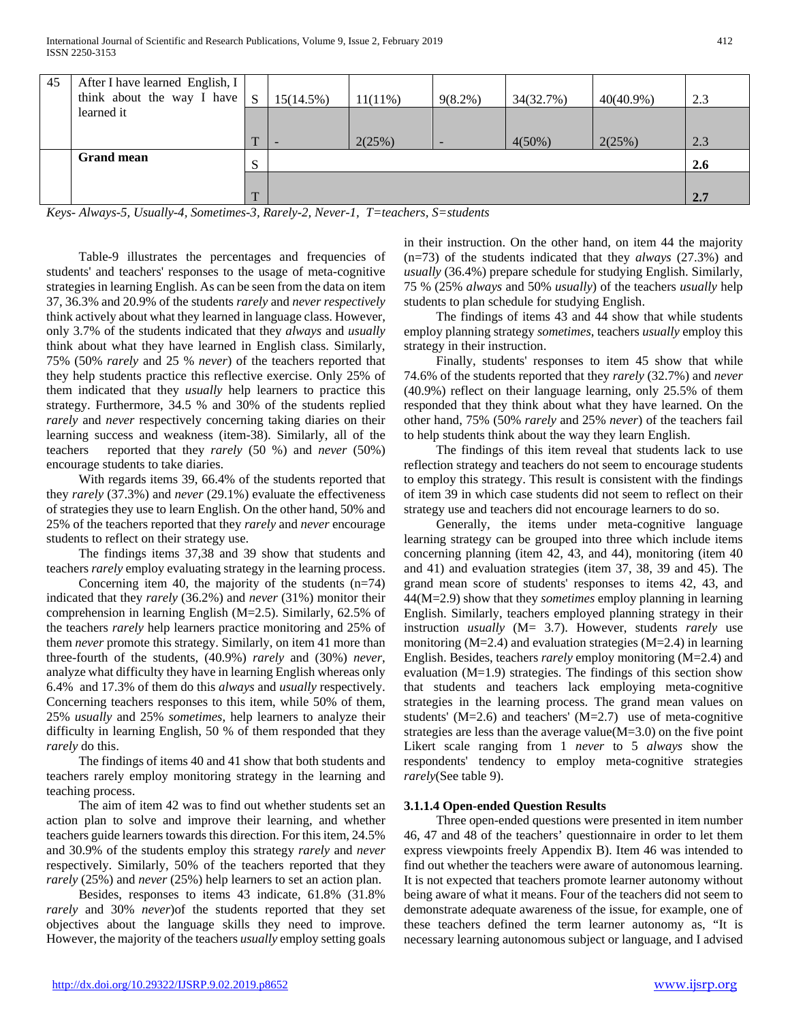| 45 | After I have learned English, I<br>think about the way I have | <sub>S</sub> | 15(14.5%) | 11(11%) | $9(8.2\%)$               | 34(32.7%) | $40(40.9\%)$ | 2.3 |
|----|---------------------------------------------------------------|--------------|-----------|---------|--------------------------|-----------|--------------|-----|
|    | learned it                                                    |              |           |         |                          |           |              |     |
|    |                                                               | $\mathbf{r}$ |           | 2(25%)  | $\overline{\phantom{0}}$ | $4(50\%)$ | 2(25%)       | 2.3 |
|    | <b>Grand mean</b>                                             | S            |           |         |                          |           |              | 2.6 |
|    |                                                               |              |           |         |                          |           |              |     |
|    |                                                               | $\mathbf{r}$ |           |         |                          |           |              | 2.7 |

*Keys- Always-5, Usually-4, Sometimes-3, Rarely-2, Never-1, T=teachers, S=students*

 Table-9 illustrates the percentages and frequencies of students' and teachers' responses to the usage of meta-cognitive strategies in learning English. As can be seen from the data on item 37, 36.3% and 20.9% of the students *rarely* and *never respectively*  think actively about what they learned in language class. However, only 3.7% of the students indicated that they *always* and *usually* think about what they have learned in English class. Similarly, 75% (50% *rarely* and 25 % *never*) of the teachers reported that they help students practice this reflective exercise. Only 25% of them indicated that they *usually* help learners to practice this strategy. Furthermore, 34.5 % and 30% of the students replied *rarely* and *never* respectively concerning taking diaries on their learning success and weakness (item-38). Similarly, all of the teachers reported that they *rarely* (50 %) and *never* (50%) encourage students to take diaries.

 With regards items 39, 66.4% of the students reported that they *rarely* (37.3%) and *never* (29.1%) evaluate the effectiveness of strategies they use to learn English. On the other hand, 50% and 25% of the teachers reported that they *rarely* and *never* encourage students to reflect on their strategy use.

 The findings items 37,38 and 39 show that students and teachers *rarely* employ evaluating strategy in the learning process.

Concerning item 40, the majority of the students  $(n=74)$ indicated that they *rarely* (36.2%) and *never* (31%) monitor their comprehension in learning English (M=2.5). Similarly, 62.5% of the teachers *rarely* help learners practice monitoring and 25% of them *never* promote this strategy. Similarly, on item 41 more than three-fourth of the students, (40.9%) *rarely* and (30%) *never*, analyze what difficulty they have in learning English whereas only 6.4% and 17.3% of them do this *always* and *usually* respectively. Concerning teachers responses to this item, while 50% of them, 25% *usually* and 25% *sometimes*, help learners to analyze their difficulty in learning English, 50 % of them responded that they *rarely* do this.

 The findings of items 40 and 41 show that both students and teachers rarely employ monitoring strategy in the learning and teaching process.

 The aim of item 42 was to find out whether students set an action plan to solve and improve their learning, and whether teachers guide learners towards this direction. For this item, 24.5% and 30.9% of the students employ this strategy *rarely* and *never* respectively. Similarly, 50% of the teachers reported that they *rarely* (25%) and *never* (25%) help learners to set an action plan.

 Besides, responses to items 43 indicate, 61.8% (31.8% *rarely* and 30% *never*)of the students reported that they set objectives about the language skills they need to improve. However, the majority of the teachers *usually* employ setting goals in their instruction. On the other hand, on item 44 the majority (n=73) of the students indicated that they *always* (27.3%) and *usually* (36.4%) prepare schedule for studying English. Similarly, 75 % (25% *always* and 50% *usually*) of the teachers *usually* help students to plan schedule for studying English.

 The findings of items 43 and 44 show that while students employ planning strategy *sometimes*, teachers *usually* employ this strategy in their instruction.

 Finally, students' responses to item 45 show that while 74.6% of the students reported that they *rarely* (32.7%) and *never* (40.9%) reflect on their language learning, only 25.5% of them responded that they think about what they have learned. On the other hand, 75% (50% *rarely* and 25% *never*) of the teachers fail to help students think about the way they learn English.

 The findings of this item reveal that students lack to use reflection strategy and teachers do not seem to encourage students to employ this strategy. This result is consistent with the findings of item 39 in which case students did not seem to reflect on their strategy use and teachers did not encourage learners to do so.

 Generally, the items under meta-cognitive language learning strategy can be grouped into three which include items concerning planning (item 42, 43, and 44), monitoring (item 40 and 41) and evaluation strategies (item 37, 38, 39 and 45). The grand mean score of students' responses to items 42, 43, and 44(M=2.9) show that they *sometimes* employ planning in learning English. Similarly, teachers employed planning strategy in their instruction *usually* (M= 3.7). However, students *rarely* use monitoring  $(M=2.4)$  and evaluation strategies  $(M=2.4)$  in learning English. Besides, teachers *rarely* employ monitoring (M=2.4) and evaluation (M=1.9) strategies. The findings of this section show that students and teachers lack employing meta-cognitive strategies in the learning process. The grand mean values on students' (M=2.6) and teachers' (M=2.7) use of meta-cognitive strategies are less than the average value $(M=3.0)$  on the five point Likert scale ranging from 1 *never* to 5 *always* show the respondents' tendency to employ meta-cognitive strategies *rarely*(See table 9).

## **3.1.1.4 Open-ended Question Results**

 Three open-ended questions were presented in item number 46, 47 and 48 of the teachers' questionnaire in order to let them express viewpoints freely Appendix B). Item 46 was intended to find out whether the teachers were aware of autonomous learning. It is not expected that teachers promote learner autonomy without being aware of what it means. Four of the teachers did not seem to demonstrate adequate awareness of the issue, for example, one of these teachers defined the term learner autonomy as, "It is necessary learning autonomous subject or language, and I advised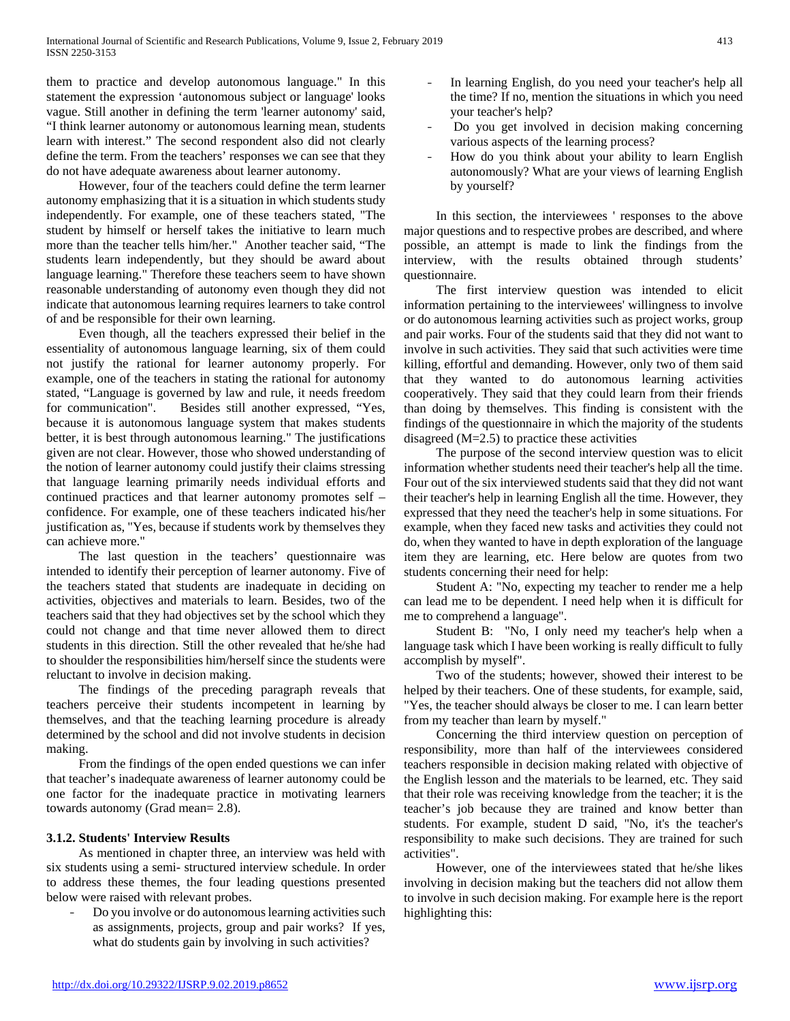them to practice and develop autonomous language." In this statement the expression 'autonomous subject or language' looks vague. Still another in defining the term 'learner autonomy' said, "I think learner autonomy or autonomous learning mean, students learn with interest." The second respondent also did not clearly define the term. From the teachers' responses we can see that they do not have adequate awareness about learner autonomy.

 However, four of the teachers could define the term learner autonomy emphasizing that it is a situation in which students study independently. For example, one of these teachers stated, "The student by himself or herself takes the initiative to learn much more than the teacher tells him/her." Another teacher said, "The students learn independently, but they should be award about language learning." Therefore these teachers seem to have shown reasonable understanding of autonomy even though they did not indicate that autonomous learning requires learners to take control of and be responsible for their own learning.

 Even though, all the teachers expressed their belief in the essentiality of autonomous language learning, six of them could not justify the rational for learner autonomy properly. For example, one of the teachers in stating the rational for autonomy stated, "Language is governed by law and rule, it needs freedom<br>for communication". Besides still another expressed. "Yes. Besides still another expressed, "Yes, because it is autonomous language system that makes students better, it is best through autonomous learning." The justifications given are not clear. However, those who showed understanding of the notion of learner autonomy could justify their claims stressing that language learning primarily needs individual efforts and continued practices and that learner autonomy promotes self – confidence. For example, one of these teachers indicated his/her justification as, "Yes, because if students work by themselves they can achieve more."

 The last question in the teachers' questionnaire was intended to identify their perception of learner autonomy. Five of the teachers stated that students are inadequate in deciding on activities, objectives and materials to learn. Besides, two of the teachers said that they had objectives set by the school which they could not change and that time never allowed them to direct students in this direction. Still the other revealed that he/she had to shoulder the responsibilities him/herself since the students were reluctant to involve in decision making.

 The findings of the preceding paragraph reveals that teachers perceive their students incompetent in learning by themselves, and that the teaching learning procedure is already determined by the school and did not involve students in decision making.

 From the findings of the open ended questions we can infer that teacher's inadequate awareness of learner autonomy could be one factor for the inadequate practice in motivating learners towards autonomy (Grad mean= 2.8).

## **3.1.2. Students' Interview Results**

 As mentioned in chapter three, an interview was held with six students using a semi- structured interview schedule. In order to address these themes, the four leading questions presented below were raised with relevant probes.

- Do you involve or do autonomous learning activities such as assignments, projects, group and pair works? If yes, what do students gain by involving in such activities?

- In learning English, do you need your teacher's help all the time? If no, mention the situations in which you need your teacher's help?
- Do you get involved in decision making concerning various aspects of the learning process?
- How do you think about your ability to learn English autonomously? What are your views of learning English by yourself?

 In this section, the interviewees ' responses to the above major questions and to respective probes are described, and where possible, an attempt is made to link the findings from the interview, with the results obtained through students' questionnaire.

 The first interview question was intended to elicit information pertaining to the interviewees' willingness to involve or do autonomous learning activities such as project works, group and pair works. Four of the students said that they did not want to involve in such activities. They said that such activities were time killing, effortful and demanding. However, only two of them said that they wanted to do autonomous learning activities cooperatively. They said that they could learn from their friends than doing by themselves. This finding is consistent with the findings of the questionnaire in which the majority of the students disagreed (M=2.5) to practice these activities

 The purpose of the second interview question was to elicit information whether students need their teacher's help all the time. Four out of the six interviewed students said that they did not want their teacher's help in learning English all the time. However, they expressed that they need the teacher's help in some situations. For example, when they faced new tasks and activities they could not do, when they wanted to have in depth exploration of the language item they are learning, etc. Here below are quotes from two students concerning their need for help:

 Student A: "No, expecting my teacher to render me a help can lead me to be dependent. I need help when it is difficult for me to comprehend a language".

 Student B: "No, I only need my teacher's help when a language task which I have been working is really difficult to fully accomplish by myself".

 Two of the students; however, showed their interest to be helped by their teachers. One of these students, for example, said, "Yes, the teacher should always be closer to me. I can learn better from my teacher than learn by myself."

 Concerning the third interview question on perception of responsibility, more than half of the interviewees considered teachers responsible in decision making related with objective of the English lesson and the materials to be learned, etc. They said that their role was receiving knowledge from the teacher; it is the teacher's job because they are trained and know better than students. For example, student D said, "No, it's the teacher's responsibility to make such decisions. They are trained for such activities".

 However, one of the interviewees stated that he/she likes involving in decision making but the teachers did not allow them to involve in such decision making. For example here is the report highlighting this: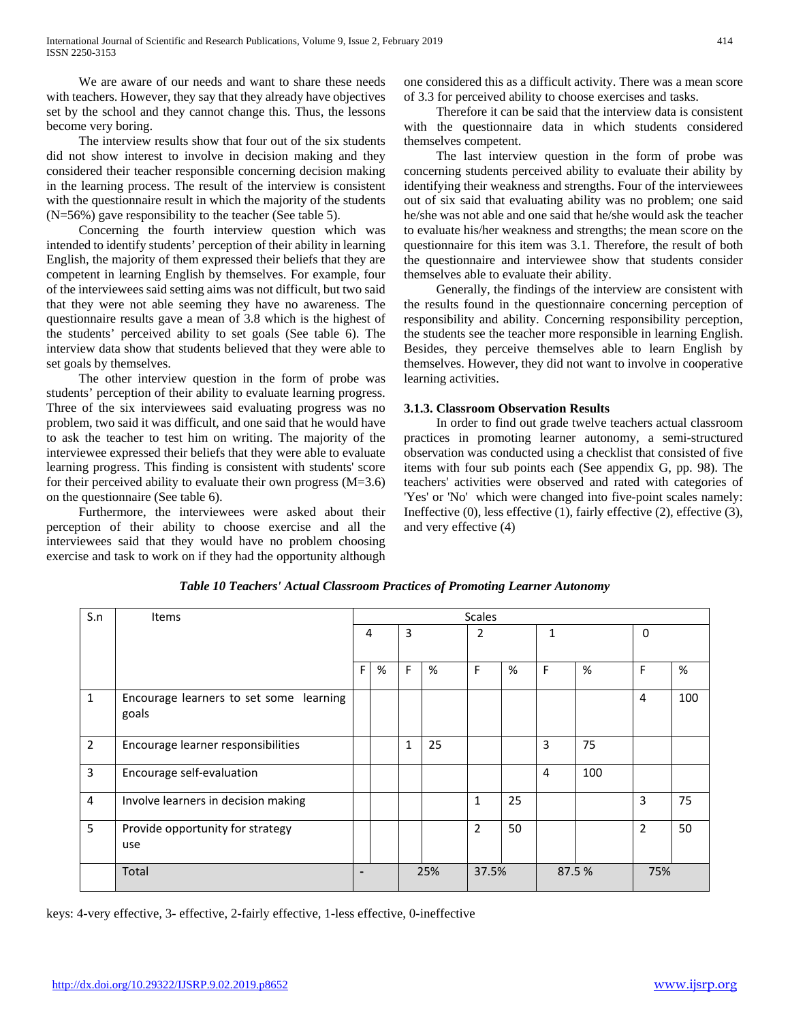We are aware of our needs and want to share these needs with teachers. However, they say that they already have objectives set by the school and they cannot change this. Thus, the lessons become very boring.

 The interview results show that four out of the six students did not show interest to involve in decision making and they considered their teacher responsible concerning decision making in the learning process. The result of the interview is consistent with the questionnaire result in which the majority of the students (N=56%) gave responsibility to the teacher (See table 5).

 Concerning the fourth interview question which was intended to identify students' perception of their ability in learning English, the majority of them expressed their beliefs that they are competent in learning English by themselves. For example, four of the interviewees said setting aims was not difficult, but two said that they were not able seeming they have no awareness. The questionnaire results gave a mean of 3.8 which is the highest of the students' perceived ability to set goals (See table 6). The interview data show that students believed that they were able to set goals by themselves.

 The other interview question in the form of probe was students' perception of their ability to evaluate learning progress. Three of the six interviewees said evaluating progress was no problem, two said it was difficult, and one said that he would have to ask the teacher to test him on writing. The majority of the interviewee expressed their beliefs that they were able to evaluate learning progress. This finding is consistent with students' score for their perceived ability to evaluate their own progress  $(M=3.6)$ on the questionnaire (See table 6).

 Furthermore, the interviewees were asked about their perception of their ability to choose exercise and all the interviewees said that they would have no problem choosing exercise and task to work on if they had the opportunity although one considered this as a difficult activity. There was a mean score of 3.3 for perceived ability to choose exercises and tasks.

 Therefore it can be said that the interview data is consistent with the questionnaire data in which students considered themselves competent.

 The last interview question in the form of probe was concerning students perceived ability to evaluate their ability by identifying their weakness and strengths. Four of the interviewees out of six said that evaluating ability was no problem; one said he/she was not able and one said that he/she would ask the teacher to evaluate his/her weakness and strengths; the mean score on the questionnaire for this item was 3.1. Therefore, the result of both the questionnaire and interviewee show that students consider themselves able to evaluate their ability.

 Generally, the findings of the interview are consistent with the results found in the questionnaire concerning perception of responsibility and ability. Concerning responsibility perception, the students see the teacher more responsible in learning English. Besides, they perceive themselves able to learn English by themselves. However, they did not want to involve in cooperative learning activities.

## **3.1.3. Classroom Observation Results**

 In order to find out grade twelve teachers actual classroom practices in promoting learner autonomy, a semi-structured observation was conducted using a checklist that consisted of five items with four sub points each (See appendix G, pp. 98). The teachers' activities were observed and rated with categories of 'Yes' or 'No' which were changed into five-point scales namely: Ineffective (0), less effective (1), fairly effective (2), effective (3), and very effective (4)

| S.n            | Items                                            | <b>Scales</b> |   |     |    |                |    |        |     |     |     |
|----------------|--------------------------------------------------|---------------|---|-----|----|----------------|----|--------|-----|-----|-----|
|                |                                                  | 4             |   | 3   |    | 2              |    | 1      |     | 0   |     |
|                |                                                  |               |   |     |    |                |    |        |     |     |     |
|                |                                                  | F             | % | F   | %  | F              | %  | F      | %   | F   | %   |
| $\mathbf{1}$   | Encourage learners to set some learning<br>goals |               |   |     |    |                |    |        |     | 4   | 100 |
| $\overline{2}$ | Encourage learner responsibilities               |               |   | 1   | 25 |                |    | 3      | 75  |     |     |
| 3              | Encourage self-evaluation                        |               |   |     |    |                |    | 4      | 100 |     |     |
| 4              | Involve learners in decision making              |               |   |     |    | 1              | 25 |        |     | 3   | 75  |
| 5              | Provide opportunity for strategy<br>use          |               |   |     |    | $\overline{2}$ | 50 |        |     | 2   | 50  |
|                | Total                                            |               |   | 25% |    | 37.5%          |    | 87.5 % |     | 75% |     |

*Table 10 Teachers' Actual Classroom Practices of Promoting Learner Autonomy*

keys: 4-very effective, 3- effective, 2-fairly effective, 1-less effective, 0-ineffective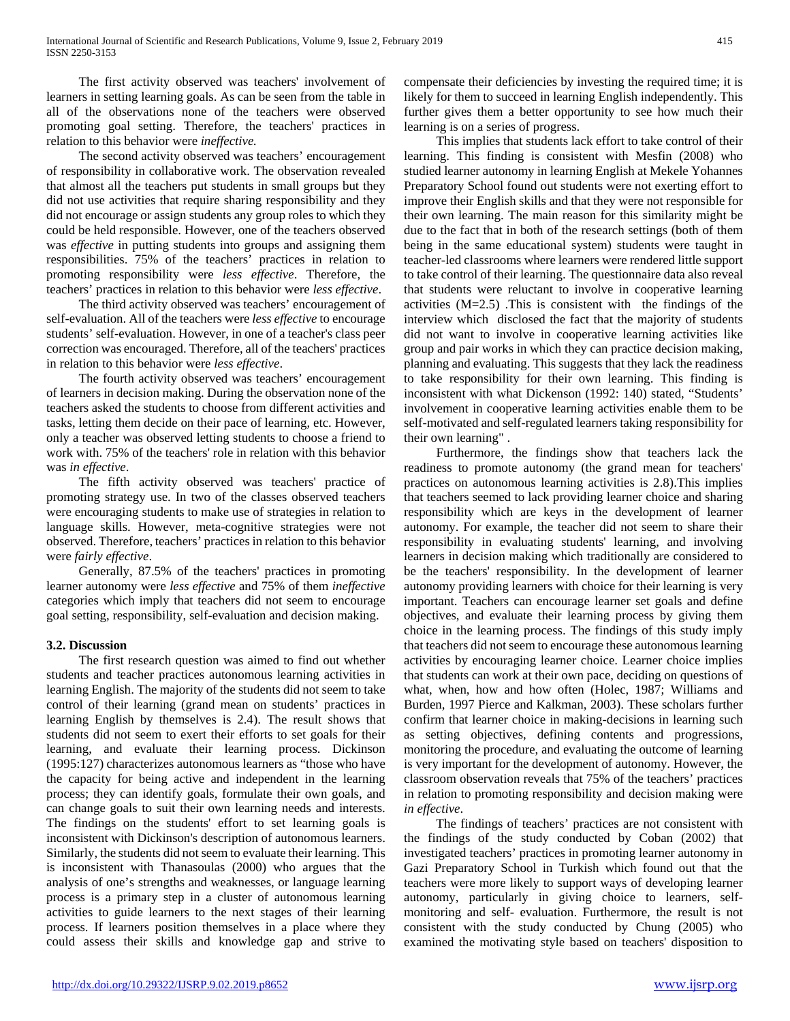The first activity observed was teachers' involvement of learners in setting learning goals. As can be seen from the table in all of the observations none of the teachers were observed promoting goal setting. Therefore, the teachers' practices in relation to this behavior were *ineffective.*

 The second activity observed was teachers' encouragement of responsibility in collaborative work. The observation revealed that almost all the teachers put students in small groups but they did not use activities that require sharing responsibility and they did not encourage or assign students any group roles to which they could be held responsible. However, one of the teachers observed was *effective* in putting students into groups and assigning them responsibilities. 75% of the teachers' practices in relation to promoting responsibility were *less effective*. Therefore, the teachers' practices in relation to this behavior were *less effective*.

 The third activity observed was teachers' encouragement of self-evaluation. All of the teachers were *less effective* to encourage students' self-evaluation. However, in one of a teacher's class peer correction was encouraged. Therefore, all of the teachers' practices in relation to this behavior were *less effective*.

 The fourth activity observed was teachers' encouragement of learners in decision making. During the observation none of the teachers asked the students to choose from different activities and tasks, letting them decide on their pace of learning, etc. However, only a teacher was observed letting students to choose a friend to work with. 75% of the teachers' role in relation with this behavior was *in effective*.

 The fifth activity observed was teachers' practice of promoting strategy use. In two of the classes observed teachers were encouraging students to make use of strategies in relation to language skills. However, meta-cognitive strategies were not observed. Therefore, teachers' practices in relation to this behavior were *fairly effective*.

 Generally, 87.5% of the teachers' practices in promoting learner autonomy were *less effective* and 75% of them *ineffective*  categories which imply that teachers did not seem to encourage goal setting, responsibility, self-evaluation and decision making.

## **3.2. Discussion**

 The first research question was aimed to find out whether students and teacher practices autonomous learning activities in learning English. The majority of the students did not seem to take control of their learning (grand mean on students' practices in learning English by themselves is 2.4). The result shows that students did not seem to exert their efforts to set goals for their learning, and evaluate their learning process. Dickinson (1995:127) characterizes autonomous learners as "those who have the capacity for being active and independent in the learning process; they can identify goals, formulate their own goals, and can change goals to suit their own learning needs and interests. The findings on the students' effort to set learning goals is inconsistent with Dickinson's description of autonomous learners. Similarly, the students did not seem to evaluate their learning. This is inconsistent with Thanasoulas (2000) who argues that the analysis of one's strengths and weaknesses, or language learning process is a primary step in a cluster of autonomous learning activities to guide learners to the next stages of their learning process. If learners position themselves in a place where they could assess their skills and knowledge gap and strive to

compensate their deficiencies by investing the required time; it is likely for them to succeed in learning English independently. This further gives them a better opportunity to see how much their learning is on a series of progress.

 This implies that students lack effort to take control of their learning. This finding is consistent with Mesfin (2008) who studied learner autonomy in learning English at Mekele Yohannes Preparatory School found out students were not exerting effort to improve their English skills and that they were not responsible for their own learning. The main reason for this similarity might be due to the fact that in both of the research settings (both of them being in the same educational system) students were taught in teacher-led classrooms where learners were rendered little support to take control of their learning. The questionnaire data also reveal that students were reluctant to involve in cooperative learning activities (M=2.5) .This is consistent with the findings of the interview which disclosed the fact that the majority of students did not want to involve in cooperative learning activities like group and pair works in which they can practice decision making, planning and evaluating. This suggests that they lack the readiness to take responsibility for their own learning. This finding is inconsistent with what Dickenson (1992: 140) stated, "Students' involvement in cooperative learning activities enable them to be self-motivated and self-regulated learners taking responsibility for their own learning" .

 Furthermore, the findings show that teachers lack the readiness to promote autonomy (the grand mean for teachers' practices on autonomous learning activities is 2.8).This implies that teachers seemed to lack providing learner choice and sharing responsibility which are keys in the development of learner autonomy. For example, the teacher did not seem to share their responsibility in evaluating students' learning, and involving learners in decision making which traditionally are considered to be the teachers' responsibility. In the development of learner autonomy providing learners with choice for their learning is very important. Teachers can encourage learner set goals and define objectives, and evaluate their learning process by giving them choice in the learning process. The findings of this study imply that teachers did not seem to encourage these autonomous learning activities by encouraging learner choice. Learner choice implies that students can work at their own pace, deciding on questions of what, when, how and how often (Holec, 1987; Williams and Burden, 1997 Pierce and Kalkman, 2003). These scholars further confirm that learner choice in making-decisions in learning such as setting objectives, defining contents and progressions, monitoring the procedure, and evaluating the outcome of learning is very important for the development of autonomy. However, the classroom observation reveals that 75% of the teachers' practices in relation to promoting responsibility and decision making were *in effective*.

 The findings of teachers' practices are not consistent with the findings of the study conducted by Coban (2002) that investigated teachers' practices in promoting learner autonomy in Gazi Preparatory School in Turkish which found out that the teachers were more likely to support ways of developing learner autonomy, particularly in giving choice to learners, selfmonitoring and self- evaluation. Furthermore, the result is not consistent with the study conducted by Chung (2005) who examined the motivating style based on teachers' disposition to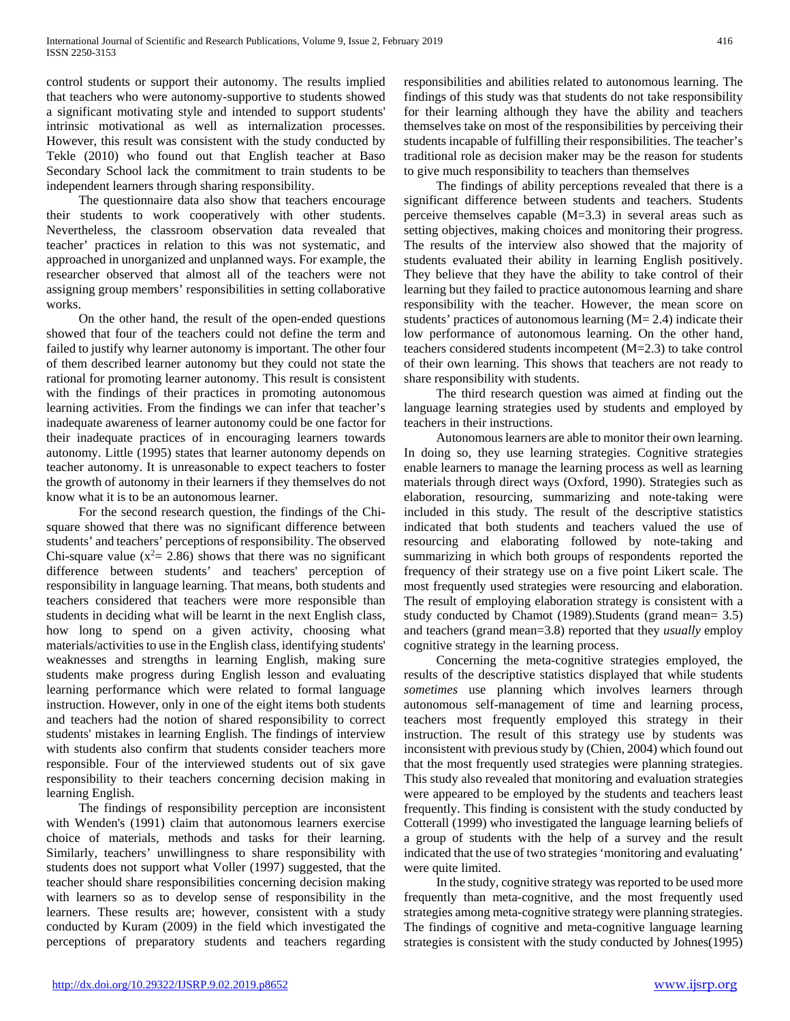control students or support their autonomy. The results implied that teachers who were autonomy-supportive to students showed a significant motivating style and intended to support students' intrinsic motivational as well as internalization processes. However, this result was consistent with the study conducted by Tekle (2010) who found out that English teacher at Baso Secondary School lack the commitment to train students to be independent learners through sharing responsibility.

 The questionnaire data also show that teachers encourage their students to work cooperatively with other students. Nevertheless, the classroom observation data revealed that teacher' practices in relation to this was not systematic, and approached in unorganized and unplanned ways. For example, the researcher observed that almost all of the teachers were not assigning group members' responsibilities in setting collaborative works.

 On the other hand, the result of the open-ended questions showed that four of the teachers could not define the term and failed to justify why learner autonomy is important. The other four of them described learner autonomy but they could not state the rational for promoting learner autonomy. This result is consistent with the findings of their practices in promoting autonomous learning activities. From the findings we can infer that teacher's inadequate awareness of learner autonomy could be one factor for their inadequate practices of in encouraging learners towards autonomy. Little (1995) states that learner autonomy depends on teacher autonomy. It is unreasonable to expect teachers to foster the growth of autonomy in their learners if they themselves do not know what it is to be an autonomous learner.

 For the second research question, the findings of the Chisquare showed that there was no significant difference between students' and teachers' perceptions of responsibility. The observed Chi-square value ( $x^2$  = 2.86) shows that there was no significant difference between students' and teachers' perception of responsibility in language learning. That means, both students and teachers considered that teachers were more responsible than students in deciding what will be learnt in the next English class, how long to spend on a given activity, choosing what materials/activities to use in the English class, identifying students' weaknesses and strengths in learning English, making sure students make progress during English lesson and evaluating learning performance which were related to formal language instruction. However, only in one of the eight items both students and teachers had the notion of shared responsibility to correct students' mistakes in learning English. The findings of interview with students also confirm that students consider teachers more responsible. Four of the interviewed students out of six gave responsibility to their teachers concerning decision making in learning English.

 The findings of responsibility perception are inconsistent with Wenden's (1991) claim that autonomous learners exercise choice of materials, methods and tasks for their learning. Similarly, teachers' unwillingness to share responsibility with students does not support what Voller (1997) suggested, that the teacher should share responsibilities concerning decision making with learners so as to develop sense of responsibility in the learners. These results are; however, consistent with a study conducted by Kuram (2009) in the field which investigated the perceptions of preparatory students and teachers regarding responsibilities and abilities related to autonomous learning. The findings of this study was that students do not take responsibility for their learning although they have the ability and teachers themselves take on most of the responsibilities by perceiving their students incapable of fulfilling their responsibilities. The teacher's traditional role as decision maker may be the reason for students to give much responsibility to teachers than themselves

 The findings of ability perceptions revealed that there is a significant difference between students and teachers. Students perceive themselves capable (M=3.3) in several areas such as setting objectives, making choices and monitoring their progress. The results of the interview also showed that the majority of students evaluated their ability in learning English positively. They believe that they have the ability to take control of their learning but they failed to practice autonomous learning and share responsibility with the teacher. However, the mean score on students' practices of autonomous learning  $(M= 2.4)$  indicate their low performance of autonomous learning. On the other hand, teachers considered students incompetent (M=2.3) to take control of their own learning. This shows that teachers are not ready to share responsibility with students.

 The third research question was aimed at finding out the language learning strategies used by students and employed by teachers in their instructions.

 Autonomous learners are able to monitor their own learning. In doing so, they use learning strategies. Cognitive strategies enable learners to manage the learning process as well as learning materials through direct ways (Oxford, 1990). Strategies such as elaboration, resourcing, summarizing and note-taking were included in this study. The result of the descriptive statistics indicated that both students and teachers valued the use of resourcing and elaborating followed by note-taking and summarizing in which both groups of respondents reported the frequency of their strategy use on a five point Likert scale. The most frequently used strategies were resourcing and elaboration. The result of employing elaboration strategy is consistent with a study conducted by Chamot (1989).Students (grand mean= 3.5) and teachers (grand mean=3.8) reported that they *usually* employ cognitive strategy in the learning process.

 Concerning the meta-cognitive strategies employed, the results of the descriptive statistics displayed that while students *sometimes* use planning which involves learners through autonomous self-management of time and learning process, teachers most frequently employed this strategy in their instruction. The result of this strategy use by students was inconsistent with previous study by (Chien, 2004) which found out that the most frequently used strategies were planning strategies. This study also revealed that monitoring and evaluation strategies were appeared to be employed by the students and teachers least frequently. This finding is consistent with the study conducted by Cotterall (1999) who investigated the language learning beliefs of a group of students with the help of a survey and the result indicated that the use of two strategies 'monitoring and evaluating' were quite limited.

 In the study, cognitive strategy was reported to be used more frequently than meta-cognitive, and the most frequently used strategies among meta-cognitive strategy were planning strategies. The findings of cognitive and meta-cognitive language learning strategies is consistent with the study conducted by Johnes(1995)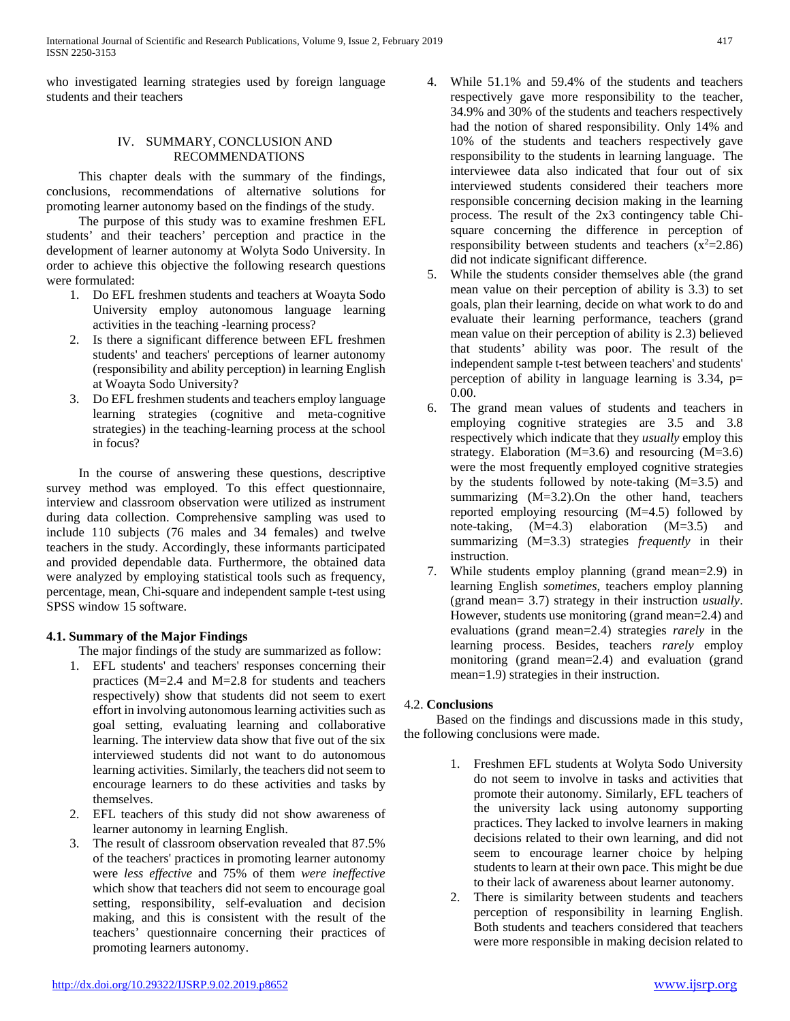who investigated learning strategies used by foreign language students and their teachers

## IV. SUMMARY, CONCLUSION AND RECOMMENDATIONS

 This chapter deals with the summary of the findings, conclusions, recommendations of alternative solutions for promoting learner autonomy based on the findings of the study.

 The purpose of this study was to examine freshmen EFL students' and their teachers' perception and practice in the development of learner autonomy at Wolyta Sodo University. In order to achieve this objective the following research questions were formulated:

- 1. Do EFL freshmen students and teachers at Woayta Sodo University employ autonomous language learning activities in the teaching -learning process?
- 2. Is there a significant difference between EFL freshmen students' and teachers' perceptions of learner autonomy (responsibility and ability perception) in learning English at Woayta Sodo University?
- 3. Do EFL freshmen students and teachers employ language learning strategies (cognitive and meta-cognitive strategies) in the teaching-learning process at the school in focus?

 In the course of answering these questions, descriptive survey method was employed. To this effect questionnaire, interview and classroom observation were utilized as instrument during data collection. Comprehensive sampling was used to include 110 subjects (76 males and 34 females) and twelve teachers in the study. Accordingly, these informants participated and provided dependable data. Furthermore, the obtained data were analyzed by employing statistical tools such as frequency, percentage, mean, Chi-square and independent sample t-test using SPSS window 15 software.

# **4.1. Summary of the Major Findings**

The major findings of the study are summarized as follow:

- 1. EFL students' and teachers' responses concerning their practices (M=2.4 and M=2.8 for students and teachers respectively) show that students did not seem to exert effort in involving autonomous learning activities such as goal setting, evaluating learning and collaborative learning. The interview data show that five out of the six interviewed students did not want to do autonomous learning activities. Similarly, the teachers did not seem to encourage learners to do these activities and tasks by themselves.
- 2. EFL teachers of this study did not show awareness of learner autonomy in learning English.
- 3. The result of classroom observation revealed that 87.5% of the teachers' practices in promoting learner autonomy were *less effective* and 75% of them *were ineffective*  which show that teachers did not seem to encourage goal setting, responsibility, self-evaluation and decision making, and this is consistent with the result of the teachers' questionnaire concerning their practices of promoting learners autonomy.
- 4. While 51.1% and 59.4% of the students and teachers respectively gave more responsibility to the teacher, 34.9% and 30% of the students and teachers respectively had the notion of shared responsibility. Only 14% and 10% of the students and teachers respectively gave responsibility to the students in learning language. The interviewee data also indicated that four out of six interviewed students considered their teachers more responsible concerning decision making in the learning process. The result of the 2x3 contingency table Chisquare concerning the difference in perception of responsibility between students and teachers  $(x^2=2.86)$ did not indicate significant difference.
- 5. While the students consider themselves able (the grand mean value on their perception of ability is 3.3) to set goals, plan their learning, decide on what work to do and evaluate their learning performance, teachers (grand mean value on their perception of ability is 2.3) believed that students' ability was poor. The result of the independent sample t-test between teachers' and students' perception of ability in language learning is  $3.34$ ,  $p=$ 0.00.
- 6. The grand mean values of students and teachers in employing cognitive strategies are 3.5 and 3.8 respectively which indicate that they *usually* employ this strategy. Elaboration  $(M=3.6)$  and resourcing  $(M=3.6)$ were the most frequently employed cognitive strategies by the students followed by note-taking (M=3.5) and summarizing (M=3.2).On the other hand, teachers reported employing resourcing (M=4.5) followed by note-taking, (M=4.3) elaboration (M=3.5) and summarizing (M=3.3) strategies *frequently* in their instruction.
- 7. While students employ planning (grand mean=2.9) in learning English *sometimes*, teachers employ planning (grand mean= 3.7) strategy in their instruction *usually*. However, students use monitoring (grand mean=2.4) and evaluations (grand mean=2.4) strategies *rarely* in the learning process. Besides, teachers *rarely* employ monitoring (grand mean=2.4) and evaluation (grand mean=1.9) strategies in their instruction.

# 4.2. **Conclusions**

 Based on the findings and discussions made in this study, the following conclusions were made.

- 1. Freshmen EFL students at Wolyta Sodo University do not seem to involve in tasks and activities that promote their autonomy. Similarly, EFL teachers of the university lack using autonomy supporting practices. They lacked to involve learners in making decisions related to their own learning, and did not seem to encourage learner choice by helping students to learn at their own pace. This might be due to their lack of awareness about learner autonomy.
- 2. There is similarity between students and teachers perception of responsibility in learning English. Both students and teachers considered that teachers were more responsible in making decision related to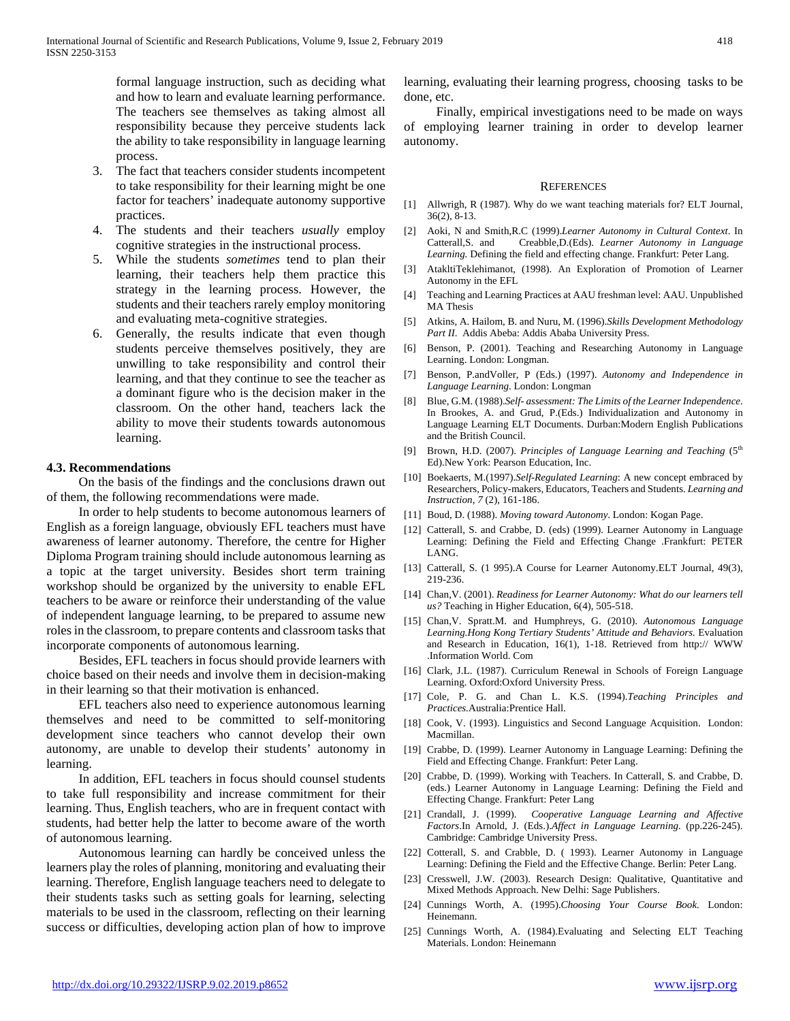formal language instruction, such as deciding what and how to learn and evaluate learning performance. The teachers see themselves as taking almost all responsibility because they perceive students lack the ability to take responsibility in language learning process.

- 3. The fact that teachers consider students incompetent to take responsibility for their learning might be one factor for teachers' inadequate autonomy supportive practices.
- 4. The students and their teachers *usually* employ cognitive strategies in the instructional process.
- 5. While the students *sometimes* tend to plan their learning, their teachers help them practice this strategy in the learning process. However, the students and their teachers rarely employ monitoring and evaluating meta-cognitive strategies.
- 6. Generally, the results indicate that even though students perceive themselves positively, they are unwilling to take responsibility and control their learning, and that they continue to see the teacher as a dominant figure who is the decision maker in the classroom. On the other hand, teachers lack the ability to move their students towards autonomous learning.

#### **4.3. Recommendations**

 On the basis of the findings and the conclusions drawn out of them, the following recommendations were made.

 In order to help students to become autonomous learners of English as a foreign language, obviously EFL teachers must have awareness of learner autonomy. Therefore, the centre for Higher Diploma Program training should include autonomous learning as a topic at the target university. Besides short term training workshop should be organized by the university to enable EFL teachers to be aware or reinforce their understanding of the value of independent language learning, to be prepared to assume new roles in the classroom, to prepare contents and classroom tasks that incorporate components of autonomous learning.

 Besides, EFL teachers in focus should provide learners with choice based on their needs and involve them in decision-making in their learning so that their motivation is enhanced.

 EFL teachers also need to experience autonomous learning themselves and need to be committed to self-monitoring development since teachers who cannot develop their own autonomy, are unable to develop their students' autonomy in learning.

 In addition, EFL teachers in focus should counsel students to take full responsibility and increase commitment for their learning. Thus, English teachers, who are in frequent contact with students, had better help the latter to become aware of the worth of autonomous learning.

 Autonomous learning can hardly be conceived unless the learners play the roles of planning, monitoring and evaluating their learning. Therefore, English language teachers need to delegate to their students tasks such as setting goals for learning, selecting materials to be used in the classroom, reflecting on their learning success or difficulties, developing action plan of how to improve learning, evaluating their learning progress, choosing tasks to be done, etc.

 Finally, empirical investigations need to be made on ways of employing learner training in order to develop learner autonomy.

#### **REFERENCES**

- [1] Allwrigh, R (1987). Why do we want teaching materials for? ELT Journal, 36(2), 8-13.
- [2] Aoki, N and Smith,R.C (1999).*Learner Autonomy in Cultural Context*. In Catterall,S. and Creabble,D.(Eds). *Learner Autonomy in Language Learning.* Defining the field and effecting change. Frankfurt: Peter Lang.
- [3] AtakltiTeklehimanot, (1998). An Exploration of Promotion of Learner Autonomy in the EFL
- [4] Teaching and Learning Practices at AAU freshman level: AAU. Unpublished MA Thesis
- [5] Atkins, A. Hailom, B. and Nuru, M. (1996).*Skills Development Methodology Part II*. Addis Abeba: Addis Ababa University Press.
- [6] Benson, P. (2001). Teaching and Researching Autonomy in Language Learning. London: Longman.
- [7] Benson, P.andVoller, P (Eds.) (1997). *Autonomy and Independence in Language Learning*. London: Longman
- [8] Blue, G.M. (1988).*Self- assessment: The Limits of the Learner Independence*. In Brookes, A. and Grud, P.(Eds.) Individualization and Autonomy in Language Learning ELT Documents. Durban:Modern English Publications and the British Council.
- [9] Brown, H.D. (2007). *Principles of Language Learning and Teaching* (5<sup>th</sup> Ed).New York: Pearson Education, Inc.
- [10] Boekaerts, M.(1997).*Self-Regulated Learning*: A new concept embraced by Researchers, Policy-makers, Educators, Teachers and Students. *Learning and Instruction, 7* (2), 161-186.
- [11] Boud, D. (1988). *Moving toward Autonomy*. London: Kogan Page.
- [12] Catterall, S. and Crabbe, D. (eds) (1999). Learner Autonomy in Language Learning: Defining the Field and Effecting Change .Frankfurt: PETER LANG.
- [13] Catterall, S. (1 995).A Course for Learner Autonomy.ELT Journal, 49(3), 219-236.
- [14] Chan,V. (2001). *Readiness for Learner Autonomy: What do our learners tell us?* Teaching in Higher Education, 6(4), 505-518.
- [15] Chan,V. Spratt.M. and Humphreys, G. (2010). *Autonomous Language Learning.Hong Kong Tertiary Students' Attitude and Behaviors.* Evaluation and Research in Education, 16(1), 1-18. Retrieved from http:// WWW .Information World. Com
- [16] Clark, J.L. (1987). Curriculum Renewal in Schools of Foreign Language Learning. Oxford:Oxford University Press.
- [17] Cole, P. G. and Chan L. K.S. (1994).*Teaching Principles and Practices.*Australia:Prentice Hall.
- [18] Cook, V. (1993). Linguistics and Second Language Acquisition. London: Macmillan.
- [19] Crabbe, D. (1999). Learner Autonomy in Language Learning: Defining the Field and Effecting Change. Frankfurt: Peter Lang.
- [20] Crabbe, D. (1999). Working with Teachers. In Catterall, S. and Crabbe, D. (eds.) Learner Autonomy in Language Learning: Defining the Field and Effecting Change. Frankfurt: Peter Lang
- [21] Crandall, J. (1999). *Cooperative Language Learning and Affective Factors*.In Arnold, J. (Eds.).*Affect in Language Learning.* (pp.226-245). Cambridge: Cambridge University Press.
- [22] Cotterall, S. and Crabble, D. (1993). Learner Autonomy in Language Learning: Defining the Field and the Effective Change. Berlin: Peter Lang.
- [23] Cresswell, J.W. (2003). Research Design: Qualitative, Quantitative and Mixed Methods Approach. New Delhi: Sage Publishers.
- [24] Cunnings Worth, A. (1995).*Choosing Your Course Book*. London: Heinemann.
- [25] Cunnings Worth, A. (1984).Evaluating and Selecting ELT Teaching Materials. London: Heinemann